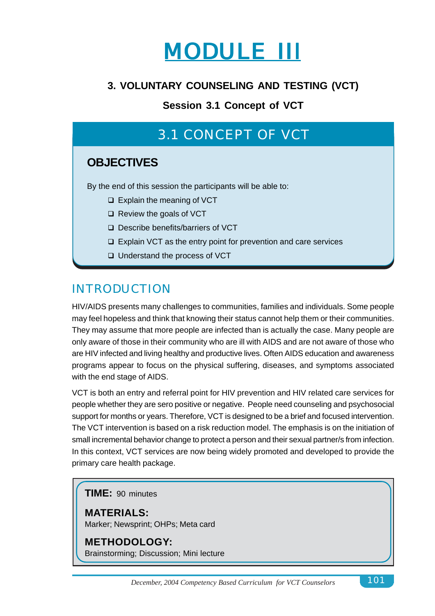

### **3. VOLUNTARY COUNSELING AND TESTING (VCT)**

**Session 3.1 Concept of VCT**

# 3.1 CONCEPT OF VCT

### **OBJECTIVES**

By the end of this session the participants will be able to:

- $\Box$  Explain the meaning of VCT
- $\Box$  Review the goals of VCT
- □ Describe benefits/barriers of VCT
- □ Explain VCT as the entry point for prevention and care services
- □ Understand the process of VCT

### INTRODUCTION

HIV/AIDS presents many challenges to communities, families and individuals. Some people may feel hopeless and think that knowing their status cannot help them or their communities. They may assume that more people are infected than is actually the case. Many people are only aware of those in their community who are ill with AIDS and are not aware of those who are HIV infected and living healthy and productive lives. Often AIDS education and awareness programs appear to focus on the physical suffering, diseases, and symptoms associated with the end stage of AIDS.

VCT is both an entry and referral point for HIV prevention and HIV related care services for people whether they are sero positive or negative. People need counseling and psychosocial support for months or years. Therefore, VCT is designed to be a brief and focused intervention. The VCT intervention is based on a risk reduction model. The emphasis is on the initiation of small incremental behavior change to protect a person and their sexual partner/s from infection. In this context, VCT services are now being widely promoted and developed to provide the primary care health package.

**TIME:** 90 minutes

**MATERIALS:** Marker; Newsprint; OHPs; Meta card

**METHODOLOGY:** Brainstorming; Discussion; Mini lecture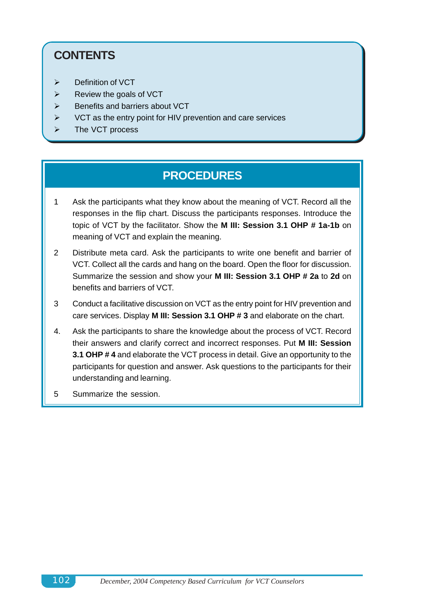# **CONTENTS**

- $\triangleright$  Definition of VCT
- $\triangleright$  Review the goals of VCT
- $\triangleright$  Benefits and barriers about VCT
- $\triangleright$  VCT as the entry point for HIV prevention and care services
- $\triangleright$  The VCT process

### **PROCEDURES**

- 1 Ask the participants what they know about the meaning of VCT. Record all the responses in the flip chart. Discuss the participants responses. Introduce the topic of VCT by the facilitator. Show the **M III: Session 3.1 OHP # 1a-1b** on meaning of VCT and explain the meaning.
- 2 Distribute meta card. Ask the participants to write one benefit and barrier of VCT. Collect all the cards and hang on the board. Open the floor for discussion. Summarize the session and show your **M III: Session 3.1 OHP # 2a** to **2d** on benefits and barriers of VCT.
- 3 Conduct a facilitative discussion on VCT as the entry point for HIV prevention and care services. Display **M III: Session 3.1 OHP # 3** and elaborate on the chart.
- 4. Ask the participants to share the knowledge about the process of VCT. Record their answers and clarify correct and incorrect responses. Put **M III: Session 3.1 OHP # 4** and elaborate the VCT process in detail. Give an opportunity to the participants for question and answer. Ask questions to the participants for their understanding and learning.
- 5 Summarize the session.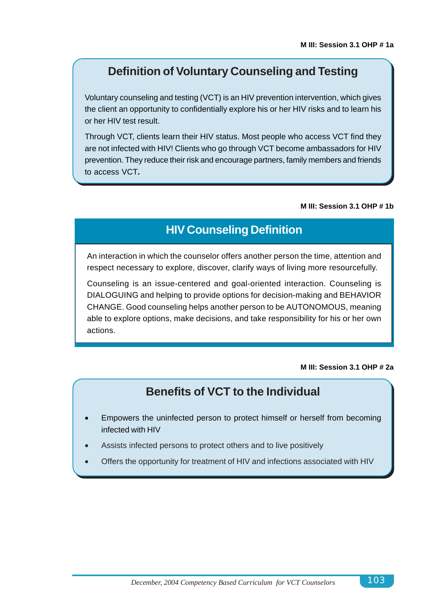### **Definition of Voluntary Counseling and Testing**

Voluntary counseling and testing (VCT) is an HIV prevention intervention, which gives the client an opportunity to confidentially explore his or her HIV risks and to learn his or her HIV test result.

Through VCT, clients learn their HIV status. Most people who access VCT find they are not infected with HIV! Clients who go through VCT become ambassadors for HIV prevention. They reduce their risk and encourage partners, family members and friends to access VCT*.*

#### **M III: Session 3.1 OHP # 1b**

### **HIV Counseling Definition**

An interaction in which the counselor offers another person the time, attention and respect necessary to explore, discover, clarify ways of living more resourcefully.

Counseling is an issue-centered and goal-oriented interaction. Counseling is DIALOGUING and helping to provide options for decision-making and BEHAVIOR CHANGE. Good counseling helps another person to be AUTONOMOUS, meaning able to explore options, make decisions, and take responsibility for his or her own actions.

#### **M III: Session 3.1 OHP # 2a**

### **Benefits of VCT to the Individual**

- Empowers the uninfected person to protect himself or herself from becoming infected with HIV
- Assists infected persons to protect others and to live positively
- Offers the opportunity for treatment of HIV and infections associated with HIV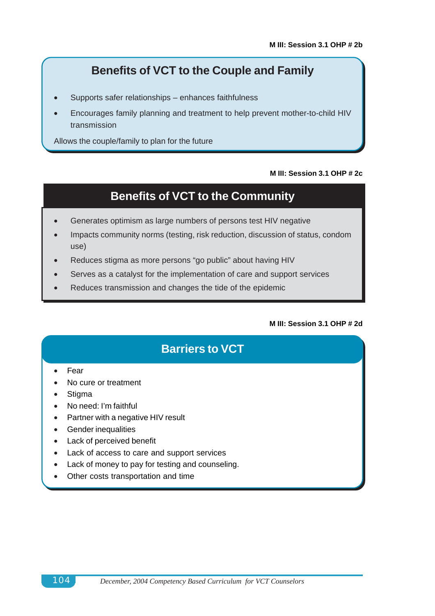## **Benefits of VCT to the Couple and Family**

- Supports safer relationships enhances faithfulness
- Encourages family planning and treatment to help prevent mother-to-child HIV transmission

Allows the couple/family to plan for the future

#### **M III: Session 3.1 OHP # 2c**

## **Benefits of VCT to the Community**

- Generates optimism as large numbers of persons test HIV negative
- Impacts community norms (testing, risk reduction, discussion of status, condom use)
- Reduces stigma as more persons "go public" about having HIV
- Serves as a catalyst for the implementation of care and support services
- Reduces transmission and changes the tide of the epidemic

#### **M III: Session 3.1 OHP # 2d**

## **Barriers to VCT**

- Fear
- No cure or treatment
- **Stigma**
- No need: I'm faithful
- Partner with a negative HIV result
- Gender inequalities
- Lack of perceived benefit
- Lack of access to care and support services
- Lack of money to pay for testing and counseling.
- Other costs transportation and time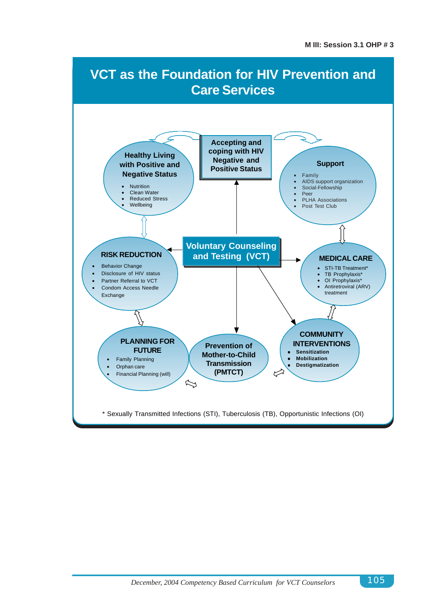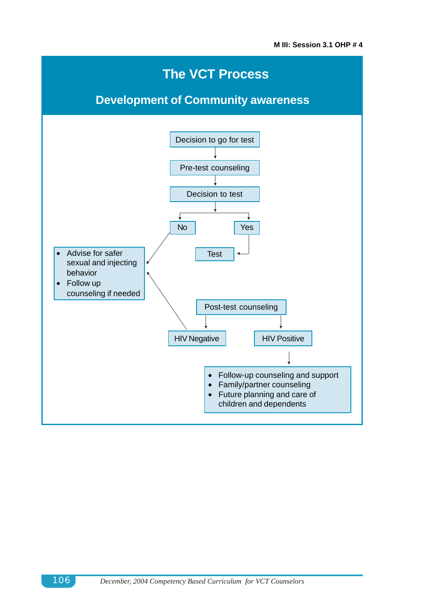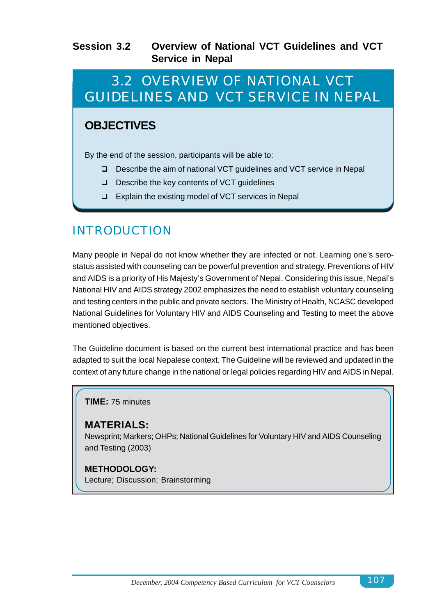### **Session 3.2 Overview of National VCT Guidelines and VCT Service in Nepal**

# 3.2 OVERVIEW OF NATIONAL VCT GUIDELINES AND VCT SERVICE IN NEPAL

### **OBJECTIVES**

By the end of the session, participants will be able to:

- □ Describe the aim of national VCT guidelines and VCT service in Nepal
- □ Describe the key contents of VCT quidelines
- $\Box$  Explain the existing model of VCT services in Nepal

## INTRODUCTION

Many people in Nepal do not know whether they are infected or not. Learning one's serostatus assisted with counseling can be powerful prevention and strategy. Preventions of HIV and AIDS is a priority of His Majesty's Government of Nepal. Considering this issue, Nepal's National HIV and AIDS strategy 2002 emphasizes the need to establish voluntary counseling and testing centers in the public and private sectors. The Ministry of Health, NCASC developed National Guidelines for Voluntary HIV and AIDS Counseling and Testing to meet the above mentioned objectives.

The Guideline document is based on the current best international practice and has been adapted to suit the local Nepalese context. The Guideline will be reviewed and updated in the context of any future change in the national or legal policies regarding HIV and AIDS in Nepal.

**TIME:** 75 minutes

### **MATERIALS:**

Newsprint; Markers; OHPs; National Guidelines for Voluntary HIV and AIDS Counseling and Testing (2003)

### **METHODOLOGY:**

Lecture; Discussion; Brainstorming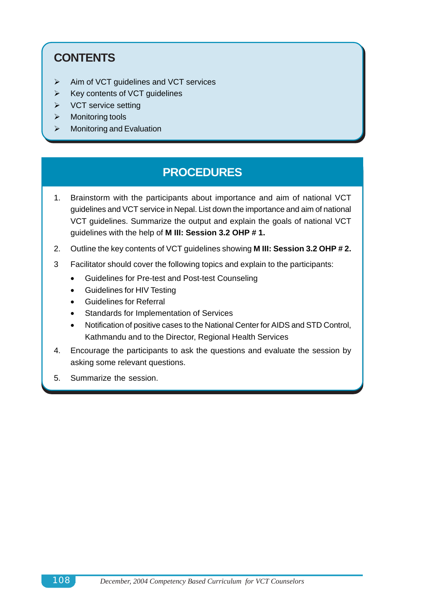## **CONTENTS**

- $\triangleright$  Aim of VCT guidelines and VCT services
- $\triangleright$  Key contents of VCT guidelines
- $\triangleright$  VCT service setting
- $\triangleright$  Monitoring tools
- $\triangleright$  Monitoring and Evaluation

### **PROCEDURES**

- 1. Brainstorm with the participants about importance and aim of national VCT guidelines and VCT service in Nepal. List down the importance and aim of national VCT guidelines. Summarize the output and explain the goals of national VCT guidelines with the help of **M III: Session 3.2 OHP # 1.**
- 2. Outline the key contents of VCT guidelines showing **M III: Session 3.2 OHP # 2.**
- 3 Facilitator should cover the following topics and explain to the participants:
	- Guidelines for Pre-test and Post-test Counseling
	- Guidelines for HIV Testing
	- Guidelines for Referral
	- Standards for Implementation of Services
	- Notification of positive cases to the National Center for AIDS and STD Control, Kathmandu and to the Director, Regional Health Services
- 4. Encourage the participants to ask the questions and evaluate the session by asking some relevant questions.
- 5. Summarize the session.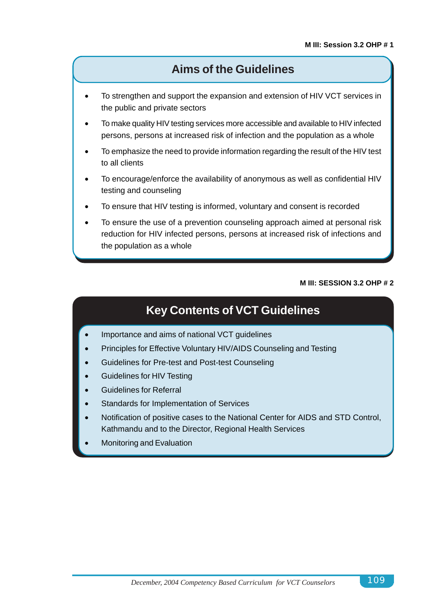### **Aims of the Guidelines**

- To strengthen and support the expansion and extension of HIV VCT services in the public and private sectors
- To make quality HIV testing services more accessible and available to HIV infected persons, persons at increased risk of infection and the population as a whole
- To emphasize the need to provide information regarding the result of the HIV test to all clients
- To encourage/enforce the availability of anonymous as well as confidential HIV testing and counseling
- To ensure that HIV testing is informed, voluntary and consent is recorded
- To ensure the use of a prevention counseling approach aimed at personal risk reduction for HIV infected persons, persons at increased risk of infections and the population as a whole

#### **M III: SESSION 3.2 OHP # 2**

## **Key Contents of VCT Guidelines**

- Importance and aims of national VCT guidelines
- Principles for Effective Voluntary HIV/AIDS Counseling and Testing
- Guidelines for Pre-test and Post-test Counseling
- Guidelines for HIV Testing
- Guidelines for Referral
- Standards for Implementation of Services
- Notification of positive cases to the National Center for AIDS and STD Control, Kathmandu and to the Director, Regional Health Services
- Monitoring and Evaluation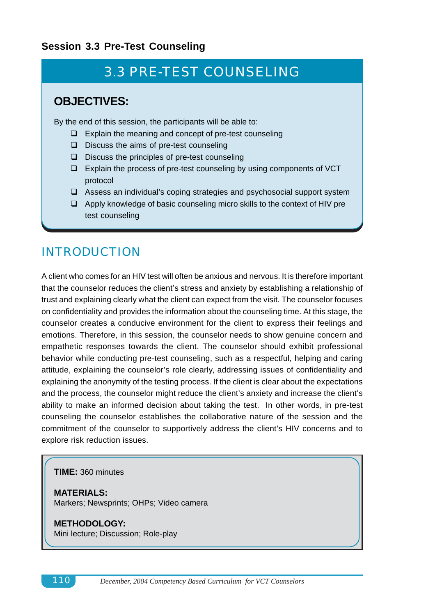### **Session 3.3 Pre-Test Counseling**

# 3.3 PRE-TEST COUNSELING

### **OBJECTIVES:**

By the end of this session, the participants will be able to:

- $\Box$  Explain the meaning and concept of pre-test counseling
- $\Box$  Discuss the aims of pre-test counseling
- $\Box$  Discuss the principles of pre-test counseling
- $\Box$  Explain the process of pre-test counseling by using components of VCT protocol
- $\Box$  Assess an individual's coping strategies and psychosocial support system
- $\Box$  Apply knowledge of basic counseling micro skills to the context of HIV pre test counseling

## INTRODUCTION

A client who comes for an HIV test will often be anxious and nervous. It is therefore important that the counselor reduces the client's stress and anxiety by establishing a relationship of trust and explaining clearly what the client can expect from the visit. The counselor focuses on confidentiality and provides the information about the counseling time. At this stage, the counselor creates a conducive environment for the client to express their feelings and emotions. Therefore, in this session, the counselor needs to show genuine concern and empathetic responses towards the client. The counselor should exhibit professional behavior while conducting pre-test counseling, such as a respectful, helping and caring attitude, explaining the counselor's role clearly, addressing issues of confidentiality and explaining the anonymity of the testing process. If the client is clear about the expectations and the process, the counselor might reduce the client's anxiety and increase the client's ability to make an informed decision about taking the test. In other words, in pre-test counseling the counselor establishes the collaborative nature of the session and the commitment of the counselor to supportively address the client's HIV concerns and to explore risk reduction issues.

#### **TIME:** 360 minutes

**MATERIALS:** Markers; Newsprints; OHPs; Video camera

#### **METHODOLOGY:** Mini lecture; Discussion; Role-play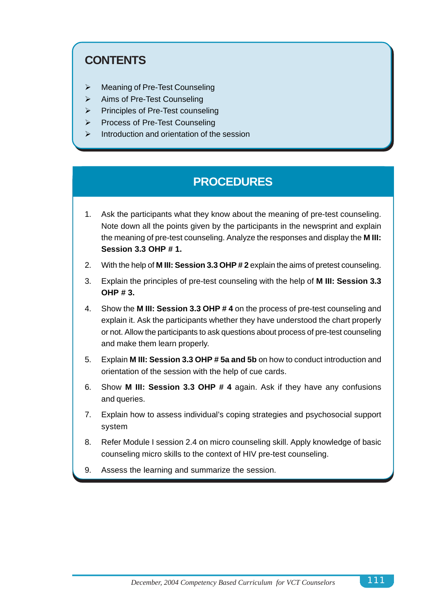## **CONTENTS**

- > Meaning of Pre-Test Counseling
- $\triangleright$  Aims of Pre-Test Counseling
- $\triangleright$  Principles of Pre-Test counseling
- > Process of Pre-Test Counseling
- $\triangleright$  Introduction and orientation of the session

## **PROCEDURES**

- 1. Ask the participants what they know about the meaning of pre-test counseling. Note down all the points given by the participants in the newsprint and explain the meaning of pre-test counseling. Analyze the responses and display the **M III: Session 3.3 OHP # 1.**
- 2. With the help of **M III: Session 3.3 OHP # 2** explain the aims of pretest counseling.
- 3. Explain the principles of pre-test counseling with the help of **M III: Session 3.3 OHP # 3.**
- 4. Show the **M III: Session 3.3 OHP # 4** on the process of pre-test counseling and explain it. Ask the participants whether they have understood the chart properly or not. Allow the participants to ask questions about process of pre-test counseling and make them learn properly.
- 5. Explain **M III: Session 3.3 OHP # 5a and 5b** on how to conduct introduction and orientation of the session with the help of cue cards.
- 6. Show **M III: Session 3.3 OHP # 4** again. Ask if they have any confusions and queries.
- 7. Explain how to assess individual's coping strategies and psychosocial support system
- 8. Refer Module I session 2.4 on micro counseling skill. Apply knowledge of basic counseling micro skills to the context of HIV pre-test counseling.
- 9. Assess the learning and summarize the session.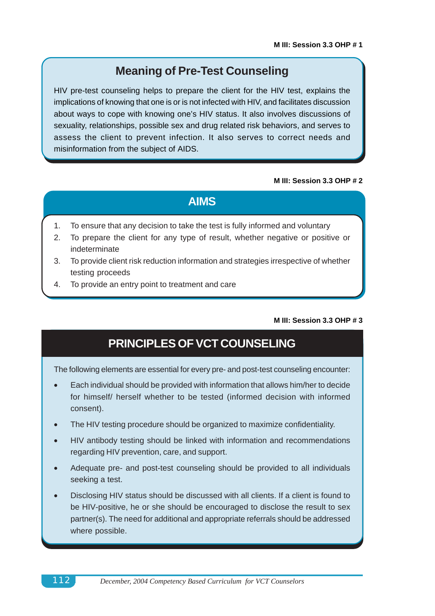### **Meaning of Pre-Test Counseling**

HIV pre-test counseling helps to prepare the client for the HIV test, explains the implications of knowing that one is or is not infected with HIV, and facilitates discussion about ways to cope with knowing one's HIV status. It also involves discussions of sexuality, relationships, possible sex and drug related risk behaviors, and serves to assess the client to prevent infection. It also serves to correct needs and misinformation from the subject of AIDS.

#### **M III: Session 3.3 OHP # 2**

### **AIMS**

- 1. To ensure that any decision to take the test is fully informed and voluntary
- 2. To prepare the client for any type of result, whether negative or positive or indeterminate
- 3. To provide client risk reduction information and strategies irrespective of whether testing proceeds
- 4. To provide an entry point to treatment and care

#### **M III: Session 3.3 OHP # 3**

### **PRINCIPLES OF VCT COUNSELING**

The following elements are essential for every pre- and post-test counseling encounter:

- Each individual should be provided with information that allows him/her to decide for himself/ herself whether to be tested (informed decision with informed consent).
- The HIV testing procedure should be organized to maximize confidentiality.
- HIV antibody testing should be linked with information and recommendations regarding HIV prevention, care, and support.
- Adequate pre- and post-test counseling should be provided to all individuals seeking a test.
- Disclosing HIV status should be discussed with all clients. If a client is found to be HIV-positive, he or she should be encouraged to disclose the result to sex partner(s). The need for additional and appropriate referrals should be addressed where possible.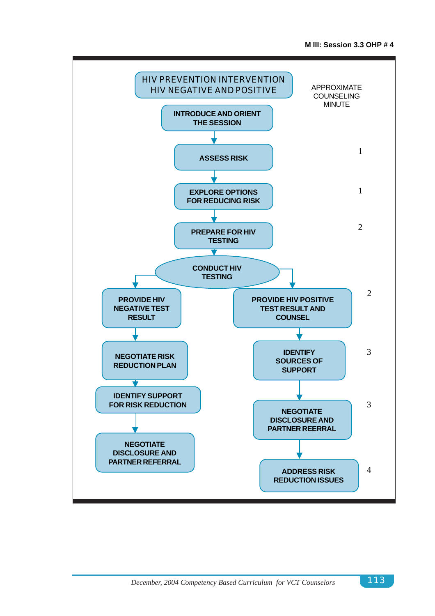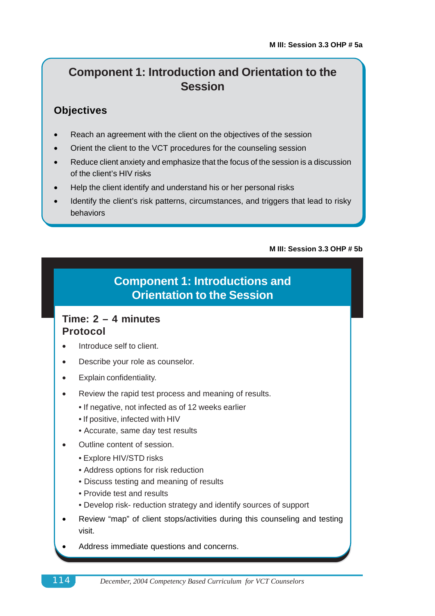## **Component 1: Introduction and Orientation to the Session**

### **Objectives**

- Reach an agreement with the client on the objectives of the session
- Orient the client to the VCT procedures for the counseling session
- Reduce client anxiety and emphasize that the focus of the session is a discussion of the client's HIV risks
- Help the client identify and understand his or her personal risks
- Identify the client's risk patterns, circumstances, and triggers that lead to risky behaviors

#### **M III: Session 3.3 OHP # 5b**

## **Component 1: Introductions and Orientation to the Session**

### **Time: 2 – 4 minutes Protocol**

- Introduce self to client.
- Describe your role as counselor.
- Explain confidentiality.
- Review the rapid test process and meaning of results.
	- If negative, not infected as of 12 weeks earlier
	- If positive, infected with HIV
	- Accurate, same day test results
- Outline content of session.
	- Explore HIV/STD risks
	- Address options for risk reduction
	- Discuss testing and meaning of results
	- Provide test and results
	- Develop risk- reduction strategy and identify sources of support
- Review "map" of client stops/activities during this counseling and testing visit.
- Address immediate questions and concerns.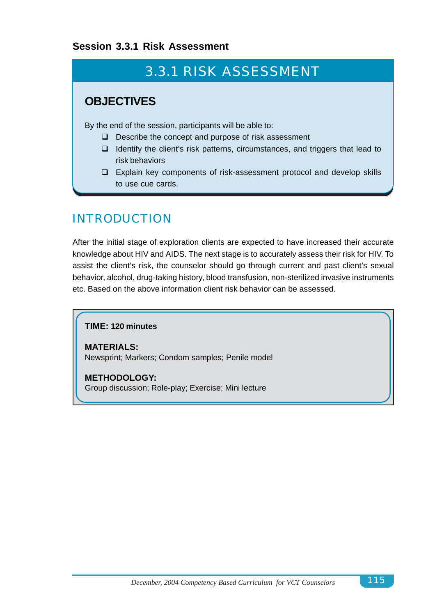### **Session 3.3.1 Risk Assessment**

# 3.3.1 RISK ASSESSMENT

### **OBJECTIVES**

By the end of the session, participants will be able to:

- $\Box$  Describe the concept and purpose of risk assessment
- $\Box$  Identify the client's risk patterns, circumstances, and triggers that lead to risk behaviors
- $\Box$  Explain key components of risk-assessment protocol and develop skills to use cue cards.

## INTRODUCTION

After the initial stage of exploration clients are expected to have increased their accurate knowledge about HIV and AIDS. The next stage is to accurately assess their risk for HIV. To assist the client's risk, the counselor should go through current and past client's sexual behavior, alcohol, drug-taking history, blood transfusion, non-sterilized invasive instruments etc. Based on the above information client risk behavior can be assessed.

### **TIME: 120 minutes**

**MATERIALS:** Newsprint; Markers; Condom samples; Penile model

**METHODOLOGY:** Group discussion; Role-play; Exercise; Mini lecture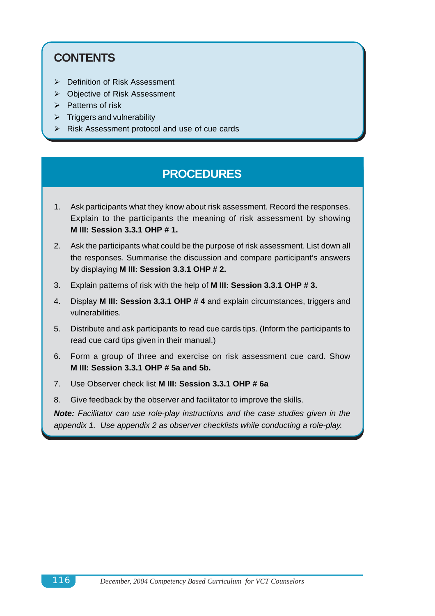## **CONTENTS**

- > Definition of Risk Assessment
- > Objective of Risk Assessment
- $\triangleright$  Patterns of risk
- $\triangleright$  Triggers and vulnerability
- $\triangleright$  Risk Assessment protocol and use of cue cards

### **PROCEDURES**

- 1. Ask participants what they know about risk assessment. Record the responses. Explain to the participants the meaning of risk assessment by showing **M III: Session 3.3.1 OHP # 1.**
- 2. Ask the participants what could be the purpose of risk assessment. List down all the responses. Summarise the discussion and compare participant's answers by displaying **M III: Session 3.3.1 OHP # 2.**
- 3. Explain patterns of risk with the help of **M III: Session 3.3.1 OHP # 3.**
- 4. Display **M III: Session 3.3.1 OHP # 4** and explain circumstances, triggers and vulnerabilities.
- 5. Distribute and ask participants to read cue cards tips. (Inform the participants to read cue card tips given in their manual.)
- 6. Form a group of three and exercise on risk assessment cue card. Show **M III: Session 3.3.1 OHP # 5a and 5b.**
- 7. Use Observer check list **M III: Session 3.3.1 OHP # 6a**
- 8. Give feedback by the observer and facilitator to improve the skills.

*Note: Facilitator can use role-play instructions and the case studies given in the appendix 1. Use appendix 2 as observer checklists while conducting a role-play.*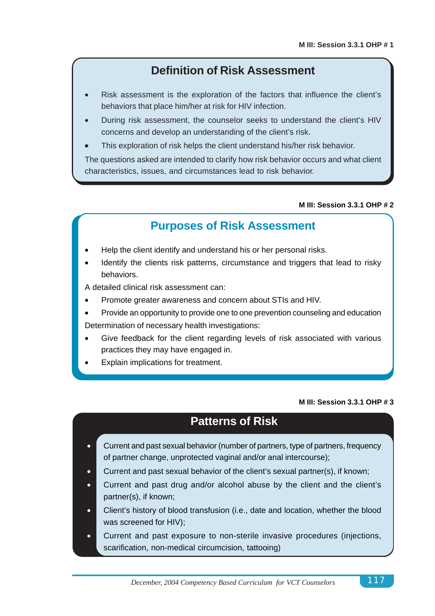### **Definition of Risk Assessment**

- Risk assessment is the exploration of the factors that influence the client's behaviors that place him/her at risk for HIV infection.
- During risk assessment, the counselor seeks to understand the client's HIV concerns and develop an understanding of the client's risk.
- This exploration of risk helps the client understand his/her risk behavior.

The questions asked are intended to clarify how risk behavior occurs and what client characteristics, issues, and circumstances lead to risk behavior.

#### **M III: Session 3.3.1 OHP # 2**

### **Purposes of Risk Assessment**

- Help the client identify and understand his or her personal risks.
- Identify the clients risk patterns, circumstance and triggers that lead to risky behaviors.

A detailed clinical risk assessment can:

- Promote greater awareness and concern about STIs and HIV.
- Provide an opportunity to provide one to one prevention counseling and education Determination of necessary health investigations:
- Give feedback for the client regarding levels of risk associated with various practices they may have engaged in.
- Explain implications for treatment.

#### **M III: Session 3.3.1 OHP # 3**

### **Patterns of Risk**

- Current and past sexual behavior (number of partners, type of partners, frequency of partner change, unprotected vaginal and/or anal intercourse);
- Current and past sexual behavior of the client's sexual partner(s), if known;
- Current and past drug and/or alcohol abuse by the client and the client's partner(s), if known;
- Client's history of blood transfusion (i.e., date and location, whether the blood was screened for HIV);
- Current and past exposure to non-sterile invasive procedures (injections, scarification, non-medical circumcision, tattooing)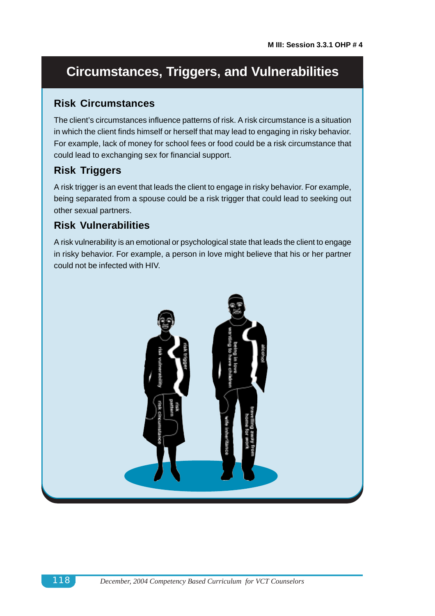# **Circumstances, Triggers, and Vulnerabilities**

### **Risk Circumstances**

The client's circumstances influence patterns of risk. A risk circumstance is a situation in which the client finds himself or herself that may lead to engaging in risky behavior. For example, lack of money for school fees or food could be a risk circumstance that could lead to exchanging sex for financial support.

### **Risk Triggers**

A risk trigger is an event that leads the client to engage in risky behavior. For example, being separated from a spouse could be a risk trigger that could lead to seeking out other sexual partners.

### **Risk Vulnerabilities**

A risk vulnerability is an emotional or psychological state that leads the client to engage in risky behavior. For example, a person in love might believe that his or her partner could not be infected with HIV.

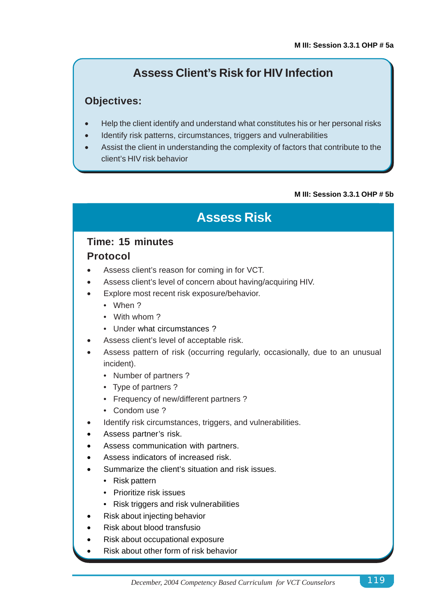## **Assess Client's Risk for HIV Infection**

### **Objectives:**

- Help the client identify and understand what constitutes his or her personal risks
- Identify risk patterns, circumstances, triggers and vulnerabilities
- Assist the client in understanding the complexity of factors that contribute to the client's HIV risk behavior

#### **M III: Session 3.3.1 OHP # 5b**

# **Assess Risk**

### **Time: 15 minutes Protocol**

- 
- Assess client's reason for coming in for VCT.
- Assess client's level of concern about having/acquiring HIV.
- Explore most recent risk exposure/behavior.
	- When ?
	- With whom ?
	- Under what circumstances ?
- Assess client's level of acceptable risk.
- Assess pattern of risk (occurring regularly, occasionally, due to an unusual incident).
	- Number of partners ?
	- Type of partners ?
	- Frequency of new/different partners ?
	- Condom use ?
- Identify risk circumstances, triggers, and vulnerabilities.
- Assess partner's risk.
- Assess communication with partners.
- Assess indicators of increased risk.
- Summarize the client's situation and risk issues.
	- Risk pattern
	- Prioritize risk issues
	- Risk triggers and risk vulnerabilities
- Risk about injecting behavior
- Risk about blood transfusio
- Risk about occupational exposure
- Risk about other form of risk behavior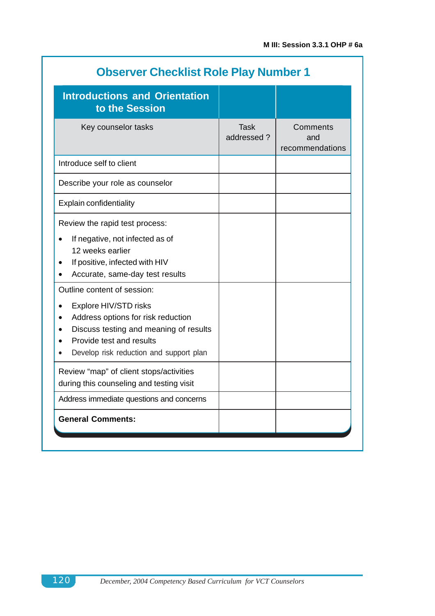| <b>Observer Checklist Role Play Number 1</b>                                                                                                                                                                                                                                                                                                                                                                          |                           |                                    |
|-----------------------------------------------------------------------------------------------------------------------------------------------------------------------------------------------------------------------------------------------------------------------------------------------------------------------------------------------------------------------------------------------------------------------|---------------------------|------------------------------------|
| <b>Introductions and Orientation</b><br>to the Session                                                                                                                                                                                                                                                                                                                                                                |                           |                                    |
| Key counselor tasks                                                                                                                                                                                                                                                                                                                                                                                                   | <b>Task</b><br>addressed? | Comments<br>and<br>recommendations |
| Introduce self to client                                                                                                                                                                                                                                                                                                                                                                                              |                           |                                    |
| Describe your role as counselor                                                                                                                                                                                                                                                                                                                                                                                       |                           |                                    |
| <b>Explain confidentiality</b>                                                                                                                                                                                                                                                                                                                                                                                        |                           |                                    |
| Review the rapid test process:<br>If negative, not infected as of<br>$\bullet$<br>12 weeks earlier<br>If positive, infected with HIV<br>٠<br>Accurate, same-day test results<br>Outline content of session:<br>Explore HIV/STD risks<br>$\bullet$<br>Address options for risk reduction<br>Discuss testing and meaning of results<br>Provide test and results<br>Develop risk reduction and support plan<br>$\bullet$ |                           |                                    |
| Review "map" of client stops/activities<br>during this counseling and testing visit                                                                                                                                                                                                                                                                                                                                   |                           |                                    |
| Address immediate questions and concerns                                                                                                                                                                                                                                                                                                                                                                              |                           |                                    |
| <b>General Comments:</b>                                                                                                                                                                                                                                                                                                                                                                                              |                           |                                    |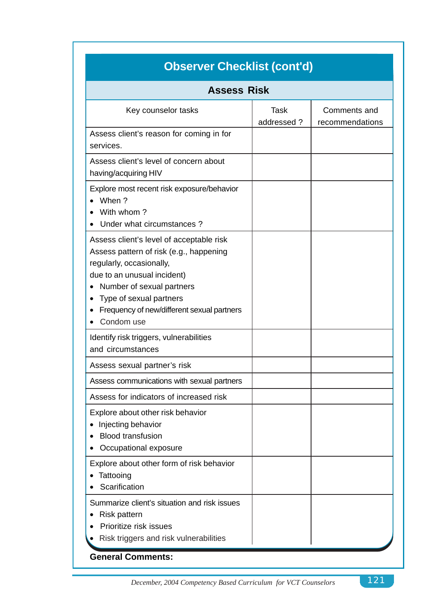| <b>Observer Checklist (cont'd)</b>                                                                                                                                                                                                                                 |                           |                                 |
|--------------------------------------------------------------------------------------------------------------------------------------------------------------------------------------------------------------------------------------------------------------------|---------------------------|---------------------------------|
| <b>Assess Risk</b>                                                                                                                                                                                                                                                 |                           |                                 |
| Key counselor tasks                                                                                                                                                                                                                                                | <b>Task</b><br>addressed? | Comments and<br>recommendations |
| Assess client's reason for coming in for<br>services.                                                                                                                                                                                                              |                           |                                 |
| Assess client's level of concern about<br>having/acquiring HIV                                                                                                                                                                                                     |                           |                                 |
| Explore most recent risk exposure/behavior<br>When ?<br>With whom?<br>Under what circumstances?                                                                                                                                                                    |                           |                                 |
| Assess client's level of acceptable risk<br>Assess pattern of risk (e.g., happening<br>regularly, occasionally,<br>due to an unusual incident)<br>Number of sexual partners<br>Type of sexual partners<br>Frequency of new/different sexual partners<br>Condom use |                           |                                 |
| Identify risk triggers, vulnerabilities<br>and circumstances                                                                                                                                                                                                       |                           |                                 |
| Assess sexual partner's risk                                                                                                                                                                                                                                       |                           |                                 |
| Assess communications with sexual partners                                                                                                                                                                                                                         |                           |                                 |
| Assess for indicators of increased risk                                                                                                                                                                                                                            |                           |                                 |
| Explore about other risk behavior<br>Injecting behavior<br><b>Blood transfusion</b><br>Occupational exposure                                                                                                                                                       |                           |                                 |
| Explore about other form of risk behavior<br>Tattooing<br>Scarification                                                                                                                                                                                            |                           |                                 |
| Summarize client's situation and risk issues<br>Risk pattern<br>Prioritize risk issues<br>Risk triggers and risk vulnerabilities<br><b>General Comments:</b>                                                                                                       |                           |                                 |

*December, 2004 Competency Based Curriculum for VCT Counselors* 121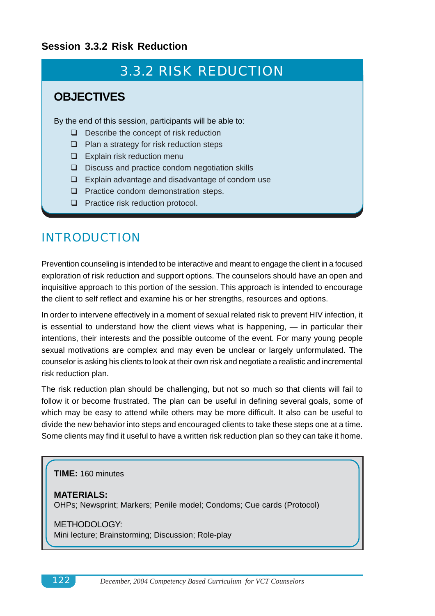### **Session 3.3.2 Risk Reduction**

# 3.3.2 RISK REDUCTION

### **OBJECTIVES**

By the end of this session, participants will be able to:

- $\Box$  Describe the concept of risk reduction
- $\Box$  Plan a strategy for risk reduction steps
- $\Box$  Explain risk reduction menu
- $\Box$  Discuss and practice condom negotiation skills
- $\Box$  Explain advantage and disadvantage of condom use
- **Q** Practice condom demonstration steps.
- $\Box$  Practice risk reduction protocol.

## INTRODUCTION

Prevention counseling is intended to be interactive and meant to engage the client in a focused exploration of risk reduction and support options. The counselors should have an open and inquisitive approach to this portion of the session. This approach is intended to encourage the client to self reflect and examine his or her strengths, resources and options.

In order to intervene effectively in a moment of sexual related risk to prevent HIV infection, it is essential to understand how the client views what is happening, — in particular their intentions, their interests and the possible outcome of the event. For many young people sexual motivations are complex and may even be unclear or largely unformulated. The counselor is asking his clients to look at their own risk and negotiate a realistic and incremental risk reduction plan.

The risk reduction plan should be challenging, but not so much so that clients will fail to follow it or become frustrated. The plan can be useful in defining several goals, some of which may be easy to attend while others may be more difficult. It also can be useful to divide the new behavior into steps and encouraged clients to take these steps one at a time. Some clients may find it useful to have a written risk reduction plan so they can take it home.

**TIME:** 160 minutes

**MATERIALS:** OHPs; Newsprint; Markers; Penile model; Condoms; Cue cards (Protocol)

METHODOLOGY: Mini lecture; Brainstorming; Discussion; Role-play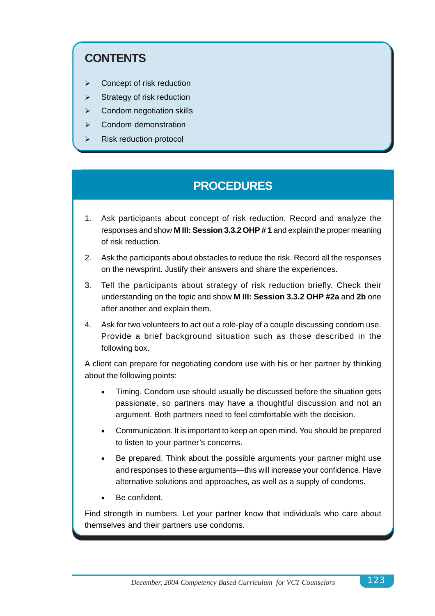## **CONTENTS**

- $\triangleright$  Concept of risk reduction
- $\triangleright$  Strategy of risk reduction
- $\triangleright$  Condom negotiation skills
- $\triangleright$  Condom demonstration
- $\triangleright$  Risk reduction protocol

# **PROCEDURES**

- 1. Ask participants about concept of risk reduction. Record and analyze the responses and show **M III: Session 3.3.2 OHP # 1** and explain the proper meaning of risk reduction.
- 2. Ask the participants about obstacles to reduce the risk. Record all the responses on the newsprint. Justify their answers and share the experiences.
- 3. Tell the participants about strategy of risk reduction briefly. Check their understanding on the topic and show **M III: Session 3.3.2 OHP #2a** and **2b** one after another and explain them.
- 4. Ask for two volunteers to act out a role-play of a couple discussing condom use. Provide a brief background situation such as those described in the following box.

A client can prepare for negotiating condom use with his or her partner by thinking about the following points:

- Timing. Condom use should usually be discussed before the situation gets passionate, so partners may have a thoughtful discussion and not an argument. Both partners need to feel comfortable with the decision.
- Communication. It is important to keep an open mind. You should be prepared to listen to your partner's concerns.
- Be prepared. Think about the possible arguments your partner might use and responses to these arguments—this will increase your confidence. Have alternative solutions and approaches, as well as a supply of condoms.
- Be confident.

Find strength in numbers. Let your partner know that individuals who care about themselves and their partners use condoms.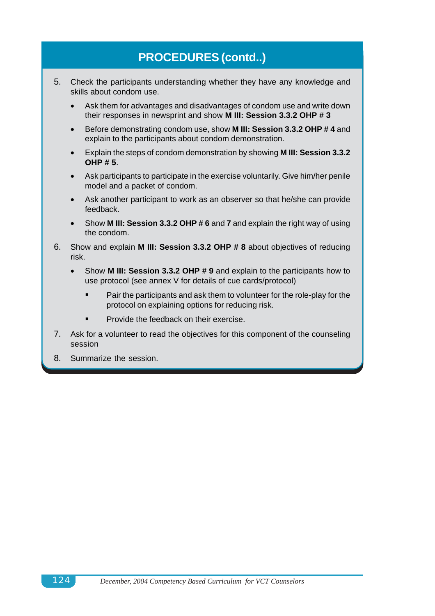# **PROCEDURES (contd..)**

- 5. Check the participants understanding whether they have any knowledge and skills about condom use.
	- Ask them for advantages and disadvantages of condom use and write down their responses in newsprint and show **M III: Session 3.3.2 OHP # 3**
	- Before demonstrating condom use, show **M III: Session 3.3.2 OHP # 4** and explain to the participants about condom demonstration.
	- Explain the steps of condom demonstration by showing **M III: Session 3.3.2 OHP # 5**.
	- Ask participants to participate in the exercise voluntarily. Give him/her penile model and a packet of condom.
	- Ask another participant to work as an observer so that he/she can provide feedback.
	- Show **M III: Session 3.3.2 OHP # 6** and **7** and explain the right way of using the condom.
- 6. Show and explain **M III: Session 3.3.2 OHP # 8** about objectives of reducing risk.
	- Show **M III: Session 3.3.2 OHP # 9** and explain to the participants how to use protocol (see annex V for details of cue cards/protocol)
		- Pair the participants and ask them to volunteer for the role-play for the protocol on explaining options for reducing risk.
		- Provide the feedback on their exercise.
- 7. Ask for a volunteer to read the objectives for this component of the counseling session
- 8. Summarize the session.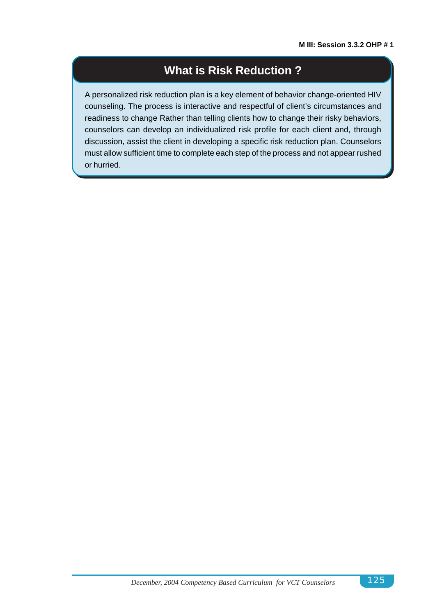### **What is Risk Reduction ?**

A personalized risk reduction plan is a key element of behavior change-oriented HIV counseling. The process is interactive and respectful of client's circumstances and readiness to change Rather than telling clients how to change their risky behaviors, counselors can develop an individualized risk profile for each client and, through discussion, assist the client in developing a specific risk reduction plan. Counselors must allow sufficient time to complete each step of the process and not appear rushed or hurried.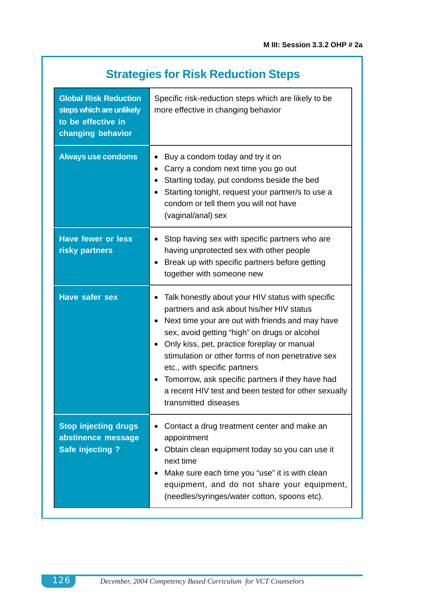| <b>Strategies for Risk Reduction Steps</b>                                                          |                                                                                                                                                                                                                                           |  |
|-----------------------------------------------------------------------------------------------------|-------------------------------------------------------------------------------------------------------------------------------------------------------------------------------------------------------------------------------------------|--|
| <b>Global Risk Reduction</b><br>steps which are unlikely<br>to be effective in<br>changing behavior | Specific risk-reduction steps which are likely to be<br>more effective in changing behavior                                                                                                                                               |  |
| <b>Always use condoms</b>                                                                           | Buy a condom today and try it on<br>Carry a condom next time you go out<br>Starting today, put condoms beside the bed<br>Starting tonight, request your partner/s to use a<br>condom or tell them you will not have<br>(vaginal/anal) sex |  |
| <b>Have fewer or less</b><br>risky partners                                                         | Stop having sex with specific partners who are<br>having unprotected sex with other people<br>Break up with specific partners before getting<br>together with someone new                                                                 |  |
| Have safer sex                                                                                      | Talk honestly about your HIV status with specific<br>partners and ask about his/her HIV status<br>Next time your are out with friends and may have<br>sex, avoid getting "high" on drugs or alcohol                                       |  |

| • Only kiss, pet, practice foreplay or manual     |
|---------------------------------------------------|
| stimulation or other forms of non penetrative sex |
| etc., with specific partners                      |

### • Tomorrow, ask specific partners if they have had a recent HIV test and been tested for other sexually transmitted diseases

| <b>Stop injecting drugs</b> | • Contact a drug treatment center and make an                 |
|-----------------------------|---------------------------------------------------------------|
| abstinence message          | appointment                                                   |
| Safe injecting ?            | • Obtain clean equipment today so you can use it<br>next time |
|                             |                                                               |

### • Make sure each time you "use" it is with clean equipment, and do not share your equipment, (needles/syringes/water cotton, spoons etc).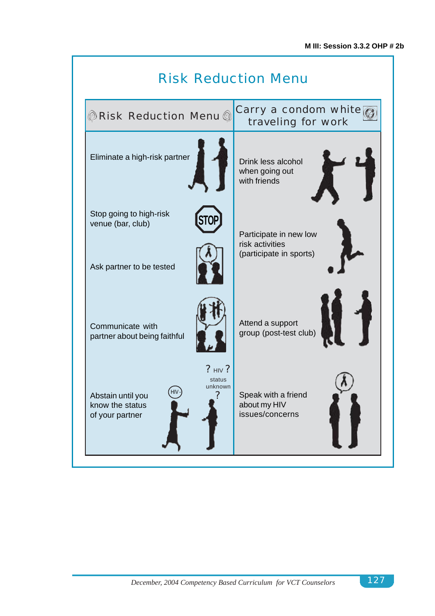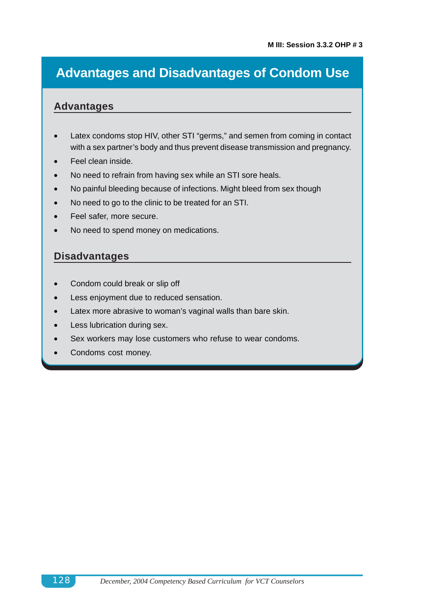# **Advantages and Disadvantages of Condom Use**

### **Advantages**

- Latex condoms stop HIV, other STI "germs," and semen from coming in contact with a sex partner's body and thus prevent disease transmission and pregnancy.
- Feel clean inside.
- No need to refrain from having sex while an STI sore heals.
- No painful bleeding because of infections. Might bleed from sex though
- No need to go to the clinic to be treated for an STI.
- Feel safer, more secure.
- No need to spend money on medications.

### **Disadvantages**

- Condom could break or slip off
- Less enjoyment due to reduced sensation.
- Latex more abrasive to woman's vaginal walls than bare skin.
- Less lubrication during sex.
- Sex workers may lose customers who refuse to wear condoms.
- Condoms cost money.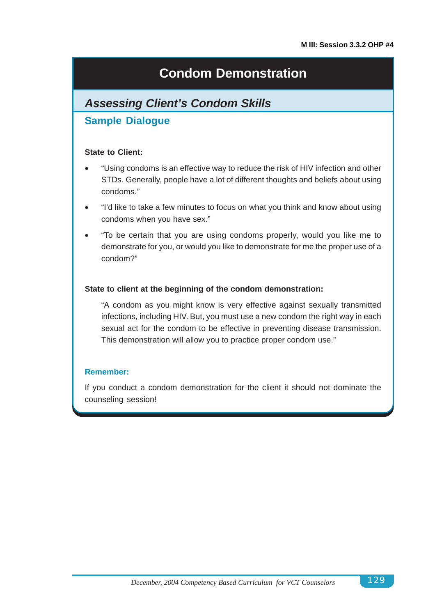# **Condom Demonstration**

## *Assessing Client's Condom Skills*

### **Sample Dialogue**

#### **State to Client:**

- "Using condoms is an effective way to reduce the risk of HIV infection and other STDs. Generally, people have a lot of different thoughts and beliefs about using condoms."
- "I'd like to take a few minutes to focus on what you think and know about using condoms when you have sex."
- "To be certain that you are using condoms properly, would you like me to demonstrate for you, or would you like to demonstrate for me the proper use of a condom?"

#### **State to client at the beginning of the condom demonstration:**

"A condom as you might know is very effective against sexually transmitted infections, including HIV. But, you must use a new condom the right way in each sexual act for the condom to be effective in preventing disease transmission. This demonstration will allow you to practice proper condom use."

#### **Remember:**

If you conduct a condom demonstration for the client it should not dominate the counseling session!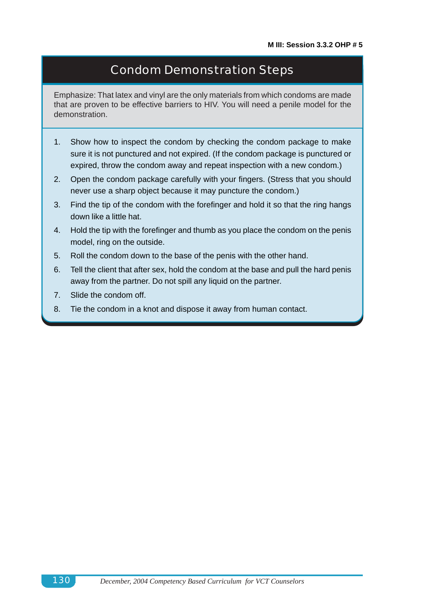## Condom Demonstration Steps

Emphasize: That latex and vinyl are the only materials from which condoms are made that are proven to be effective barriers to HIV. You will need a penile model for the demonstration.

- 1. Show how to inspect the condom by checking the condom package to make sure it is not punctured and not expired. (If the condom package is punctured or expired, throw the condom away and repeat inspection with a new condom.)
- 2. Open the condom package carefully with your fingers. (Stress that you should never use a sharp object because it may puncture the condom.)
- 3. Find the tip of the condom with the forefinger and hold it so that the ring hangs down like a little hat.
- 4. Hold the tip with the forefinger and thumb as you place the condom on the penis model, ring on the outside.
- 5. Roll the condom down to the base of the penis with the other hand.
- 6. Tell the client that after sex, hold the condom at the base and pull the hard penis away from the partner. Do not spill any liquid on the partner.
- 7. Slide the condom off.
- 8. Tie the condom in a knot and dispose it away from human contact.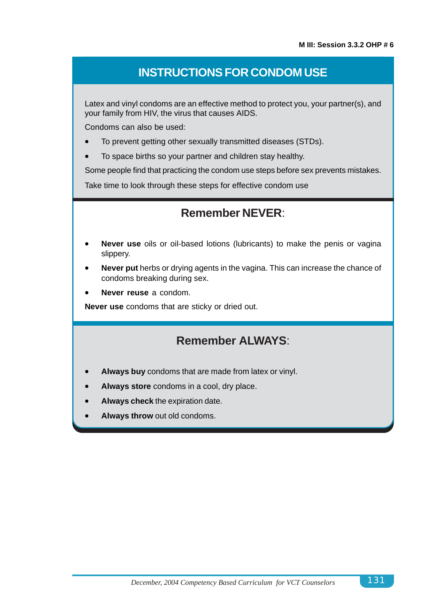### **INSTRUCTIONS FOR CONDOM USE**

Latex and vinyl condoms are an effective method to protect you, your partner(s), and your family from HIV, the virus that causes AIDS.

Condoms can also be used:

- To prevent getting other sexually transmitted diseases (STDs).
- To space births so your partner and children stay healthy.

Some people find that practicing the condom use steps before sex prevents mistakes.

Take time to look through these steps for effective condom use

### **Remember NEVER**:

- **Never use** oils or oil-based lotions (lubricants) to make the penis or vagina slippery.
- **Never put** herbs or drying agents in the vagina. This can increase the chance of condoms breaking during sex.
- **Never reuse** a condom.

**Never use** condoms that are sticky or dried out.

### **Remember ALWAYS**:

- **Always buy** condoms that are made from latex or vinyl.
- **Always store** condoms in a cool, dry place.
- **Always check** the expiration date.
- **Always throw** out old condoms.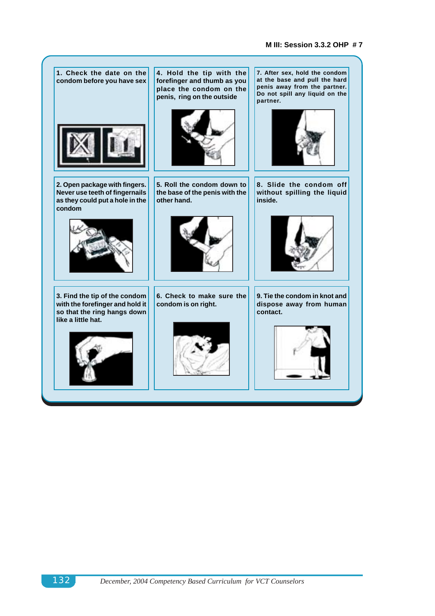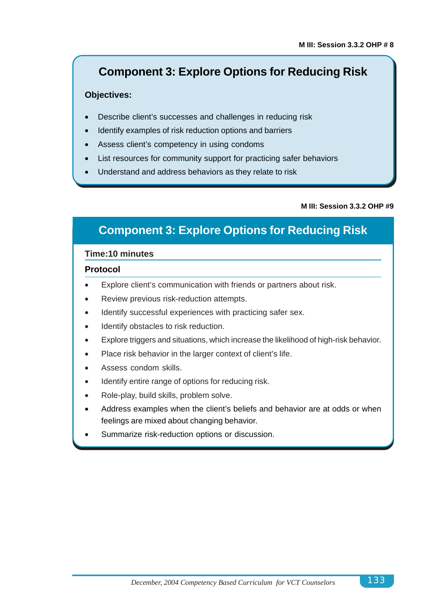## **Component 3: Explore Options for Reducing Risk**

#### **Objectives:**

- Describe client's successes and challenges in reducing risk
- Identify examples of risk reduction options and barriers
- Assess client's competency in using condoms
- List resources for community support for practicing safer behaviors
- Understand and address behaviors as they relate to risk

#### **M III: Session 3.3.2 OHP #9**

## **Component 3: Explore Options for Reducing Risk**

#### **Time:10 minutes**

#### **Protocol**

- Explore client's communication with friends or partners about risk.
- Review previous risk-reduction attempts.
- Identify successful experiences with practicing safer sex.
- Identify obstacles to risk reduction.
- Explore triggers and situations, which increase the likelihood of high-risk behavior.
- Place risk behavior in the larger context of client's life.
- Assess condom skills.
- Identify entire range of options for reducing risk.
- Role-play, build skills, problem solve.
- Address examples when the client's beliefs and behavior are at odds or when feelings are mixed about changing behavior.
- Summarize risk-reduction options or discussion.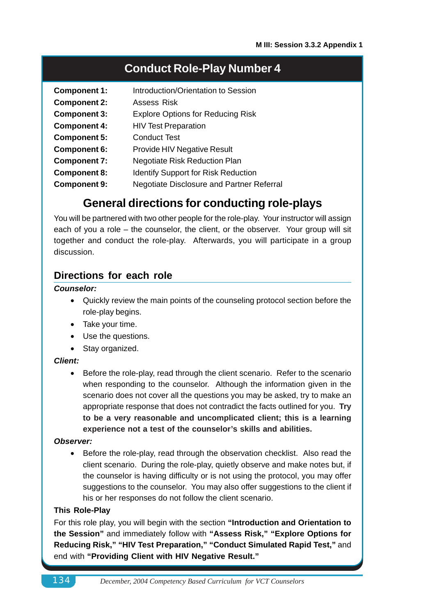### **Conduct Role-Play Number 4**

| <b>Component 1:</b> | Introduction/Orientation to Session       |
|---------------------|-------------------------------------------|
| <b>Component 2:</b> | <b>Assess Risk</b>                        |
| <b>Component 3:</b> | <b>Explore Options for Reducing Risk</b>  |
| <b>Component 4:</b> | <b>HIV Test Preparation</b>               |
| <b>Component 5:</b> | <b>Conduct Test</b>                       |
| <b>Component 6:</b> | <b>Provide HIV Negative Result</b>        |
| <b>Component 7:</b> | <b>Negotiate Risk Reduction Plan</b>      |
| <b>Component 8:</b> | Identify Support for Risk Reduction       |
| <b>Component 9:</b> | Negotiate Disclosure and Partner Referral |

### **General directions for conducting role-plays**

You will be partnered with two other people for the role-play. Your instructor will assign each of you a role – the counselor, the client, or the observer. Your group will sit together and conduct the role-play. Afterwards, you will participate in a group discussion.

### **Directions for each role**

#### *Counselor:*

- Quickly review the main points of the counseling protocol section before the role-play begins.
- Take your time.
- Use the questions.
- Stav organized.

#### *Client:*

• Before the role-play, read through the client scenario. Refer to the scenario when responding to the counselor. Although the information given in the scenario does not cover all the questions you may be asked, try to make an appropriate response that does not contradict the facts outlined for you. **Try to be a very reasonable and uncomplicated client; this is a learning experience not a test of the counselor's skills and abilities.**

#### *Observer:*

• Before the role-play, read through the observation checklist. Also read the client scenario. During the role-play, quietly observe and make notes but, if the counselor is having difficulty or is not using the protocol, you may offer suggestions to the counselor. You may also offer suggestions to the client if his or her responses do not follow the client scenario.

#### **This Role-Play**

For this role play, you will begin with the section **"Introduction and Orientation to the Session"** and immediately follow with **"Assess Risk," "Explore Options for Reducing Risk," "HIV Test Preparation," "Conduct Simulated Rapid Test,"** and end with **"Providing Client with HIV Negative Result."**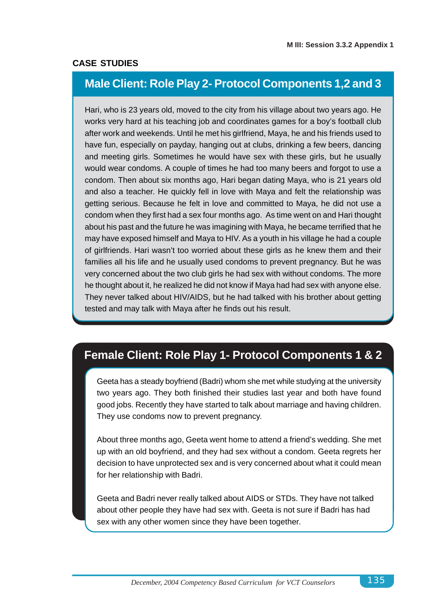#### **CASE STUDIES**

## **Male Client: Role Play 2- Protocol Components 1,2 and 3**

Hari, who is 23 years old, moved to the city from his village about two years ago. He works very hard at his teaching job and coordinates games for a boy's football club after work and weekends. Until he met his girlfriend, Maya, he and his friends used to have fun, especially on payday, hanging out at clubs, drinking a few beers, dancing and meeting girls. Sometimes he would have sex with these girls, but he usually would wear condoms. A couple of times he had too many beers and forgot to use a condom. Then about six months ago, Hari began dating Maya, who is 21 years old and also a teacher. He quickly fell in love with Maya and felt the relationship was getting serious. Because he felt in love and committed to Maya, he did not use a condom when they first had a sex four months ago. As time went on and Hari thought about his past and the future he was imagining with Maya, he became terrified that he may have exposed himself and Maya to HIV. As a youth in his village he had a couple of girlfriends. Hari wasn't too worried about these girls as he knew them and their families all his life and he usually used condoms to prevent pregnancy. But he was very concerned about the two club girls he had sex with without condoms. The more he thought about it, he realized he did not know if Maya had had sex with anyone else. They never talked about HIV/AIDS, but he had talked with his brother about getting tested and may talk with Maya after he finds out his result.

# **Female Client: Role Play 1- Protocol Components 1 & 2**

Geeta has a steady boyfriend (Badri) whom she met while studying at the university two years ago. They both finished their studies last year and both have found good jobs. Recently they have started to talk about marriage and having children. They use condoms now to prevent pregnancy.

About three months ago, Geeta went home to attend a friend's wedding. She met up with an old boyfriend, and they had sex without a condom. Geeta regrets her decision to have unprotected sex and is very concerned about what it could mean for her relationship with Badri.

Geeta and Badri never really talked about AIDS or STDs. They have not talked about other people they have had sex with. Geeta is not sure if Badri has had sex with any other women since they have been together.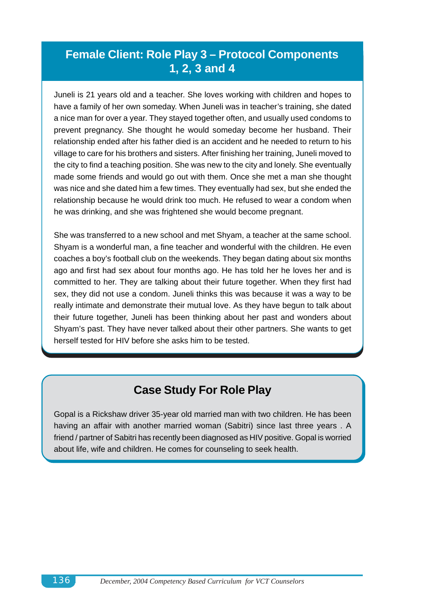### **Female Client: Role Play 3 – Protocol Components 1, 2, 3 and 4**

Juneli is 21 years old and a teacher. She loves working with children and hopes to have a family of her own someday. When Juneli was in teacher's training, she dated a nice man for over a year. They stayed together often, and usually used condoms to prevent pregnancy. She thought he would someday become her husband. Their relationship ended after his father died is an accident and he needed to return to his village to care for his brothers and sisters. After finishing her training, Juneli moved to the city to find a teaching position. She was new to the city and lonely. She eventually made some friends and would go out with them. Once she met a man she thought was nice and she dated him a few times. They eventually had sex, but she ended the relationship because he would drink too much. He refused to wear a condom when he was drinking, and she was frightened she would become pregnant.

She was transferred to a new school and met Shyam, a teacher at the same school. Shyam is a wonderful man, a fine teacher and wonderful with the children. He even coaches a boy's football club on the weekends. They began dating about six months ago and first had sex about four months ago. He has told her he loves her and is committed to her. They are talking about their future together. When they first had sex, they did not use a condom. Juneli thinks this was because it was a way to be really intimate and demonstrate their mutual love. As they have begun to talk about their future together, Juneli has been thinking about her past and wonders about Shyam's past. They have never talked about their other partners. She wants to get herself tested for HIV before she asks him to be tested.

### **Case Study For Role Play**

Gopal is a Rickshaw driver 35-year old married man with two children. He has been having an affair with another married woman (Sabitri) since last three years . A friend / partner of Sabitri has recently been diagnosed as HIV positive. Gopal is worried about life, wife and children. He comes for counseling to seek health.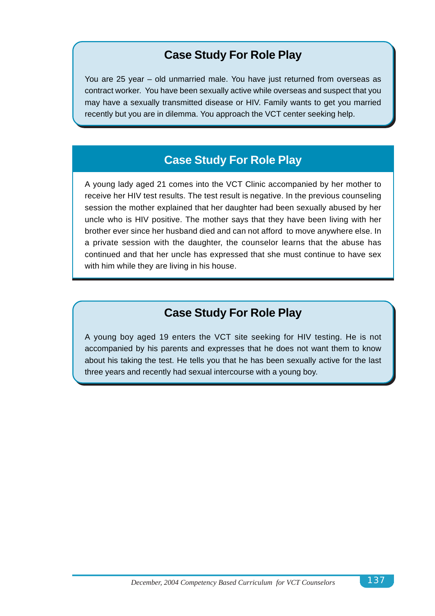# **Case Study For Role Play**

You are 25 year – old unmarried male. You have just returned from overseas as contract worker. You have been sexually active while overseas and suspect that you may have a sexually transmitted disease or HIV. Family wants to get you married recently but you are in dilemma. You approach the VCT center seeking help.

# **Case Study For Role Play**

A young lady aged 21 comes into the VCT Clinic accompanied by her mother to receive her HIV test results. The test result is negative. In the previous counseling session the mother explained that her daughter had been sexually abused by her uncle who is HIV positive. The mother says that they have been living with her brother ever since her husband died and can not afford to move anywhere else. In a private session with the daughter, the counselor learns that the abuse has continued and that her uncle has expressed that she must continue to have sex with him while they are living in his house.

# **Case Study For Role Play**

A young boy aged 19 enters the VCT site seeking for HIV testing. He is not accompanied by his parents and expresses that he does not want them to know about his taking the test. He tells you that he has been sexually active for the last three years and recently had sexual intercourse with a young boy.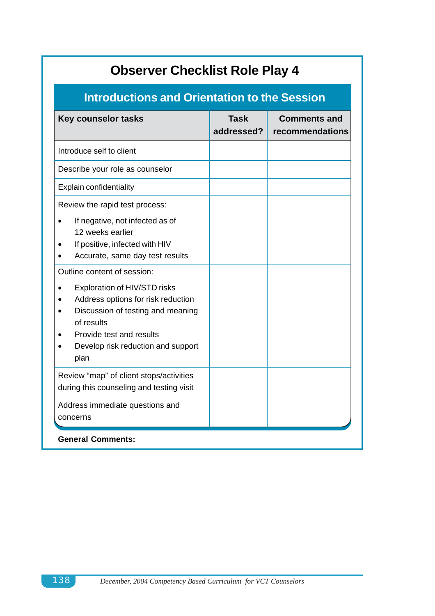| <b>Observer Checklist Role Play 4</b>                                                                                                                                                                                                                                                                                                                                                        |                           |                                        |
|----------------------------------------------------------------------------------------------------------------------------------------------------------------------------------------------------------------------------------------------------------------------------------------------------------------------------------------------------------------------------------------------|---------------------------|----------------------------------------|
| <b>Introductions and Orientation to the Session</b>                                                                                                                                                                                                                                                                                                                                          |                           |                                        |
| <b>Key counselor tasks</b>                                                                                                                                                                                                                                                                                                                                                                   | <b>Task</b><br>addressed? | <b>Comments and</b><br>recommendations |
| Introduce self to client                                                                                                                                                                                                                                                                                                                                                                     |                           |                                        |
| Describe your role as counselor                                                                                                                                                                                                                                                                                                                                                              |                           |                                        |
| <b>Explain confidentiality</b>                                                                                                                                                                                                                                                                                                                                                               |                           |                                        |
| Review the rapid test process:<br>If negative, not infected as of<br>12 weeks earlier<br>If positive, infected with HIV<br>Accurate, same day test results<br>Outline content of session:<br>Exploration of HIV/STD risks<br>Address options for risk reduction<br>Discussion of testing and meaning<br>of results<br>Provide test and results<br>Develop risk reduction and support<br>plan |                           |                                        |
| Review "map" of client stops/activities<br>during this counseling and testing visit                                                                                                                                                                                                                                                                                                          |                           |                                        |
| Address immediate questions and<br>concerns                                                                                                                                                                                                                                                                                                                                                  |                           |                                        |
| <b>General Comments:</b>                                                                                                                                                                                                                                                                                                                                                                     |                           |                                        |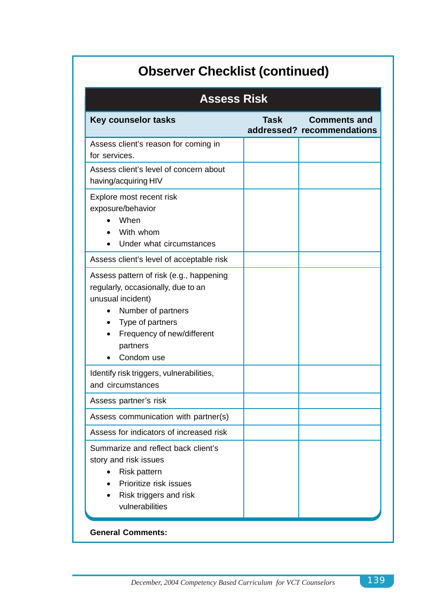# **Observer Checklist (continued)**

| <b>Assess Risk</b>                                                                                                                                                                                   |             |                                                   |
|------------------------------------------------------------------------------------------------------------------------------------------------------------------------------------------------------|-------------|---------------------------------------------------|
| <b>Key counselor tasks</b>                                                                                                                                                                           | <b>Task</b> | <b>Comments and</b><br>addressed? recommendations |
| Assess client's reason for coming in<br>for services.                                                                                                                                                |             |                                                   |
| Assess client's level of concern about<br>having/acquiring HIV                                                                                                                                       |             |                                                   |
| Explore most recent risk<br>exposure/behavior<br>When<br>With whom<br>Under what circumstances                                                                                                       |             |                                                   |
| Assess client's level of acceptable risk                                                                                                                                                             |             |                                                   |
| Assess pattern of risk (e.g., happening<br>regularly, occasionally, due to an<br>unusual incident)<br>Number of partners<br>Type of partners<br>Frequency of new/different<br>partners<br>Condom use |             |                                                   |
| Identify risk triggers, vulnerabilities,<br>and circumstances                                                                                                                                        |             |                                                   |
| Assess partner's risk                                                                                                                                                                                |             |                                                   |
| Assess communication with partner(s)                                                                                                                                                                 |             |                                                   |
| Assess for indicators of increased risk                                                                                                                                                              |             |                                                   |
| Summarize and reflect back client's<br>story and risk issues<br>Risk pattern<br>Prioritize risk issues<br>Risk triggers and risk<br>vulnerabilities                                                  |             |                                                   |
| <b>General Comments:</b>                                                                                                                                                                             |             |                                                   |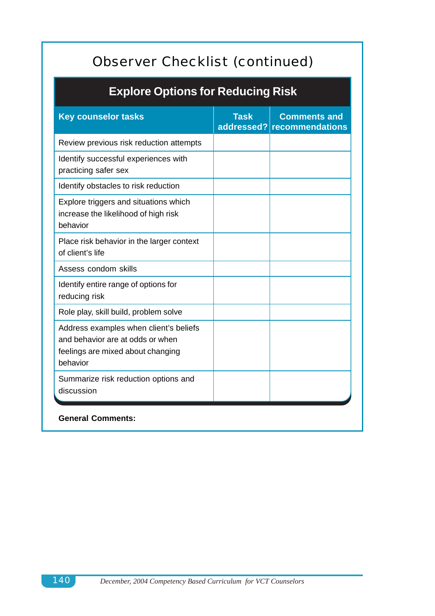# Observer Checklist (continued)

# **Explore Options for Reducing Risk**

| <b>Key counselor tasks</b>                                                                                                  | <b>Task</b> | <b>Comments and</b><br>addressed? recommendations |
|-----------------------------------------------------------------------------------------------------------------------------|-------------|---------------------------------------------------|
| Review previous risk reduction attempts                                                                                     |             |                                                   |
| Identify successful experiences with<br>practicing safer sex                                                                |             |                                                   |
| Identify obstacles to risk reduction                                                                                        |             |                                                   |
| Explore triggers and situations which<br>increase the likelihood of high risk<br>behavior                                   |             |                                                   |
| Place risk behavior in the larger context<br>of client's life                                                               |             |                                                   |
| Assess condom skills                                                                                                        |             |                                                   |
| Identify entire range of options for<br>reducing risk                                                                       |             |                                                   |
| Role play, skill build, problem solve                                                                                       |             |                                                   |
| Address examples when client's beliefs<br>and behavior are at odds or when<br>feelings are mixed about changing<br>behavior |             |                                                   |
| Summarize risk reduction options and<br>discussion                                                                          |             |                                                   |
| <b>General Comments:</b>                                                                                                    |             |                                                   |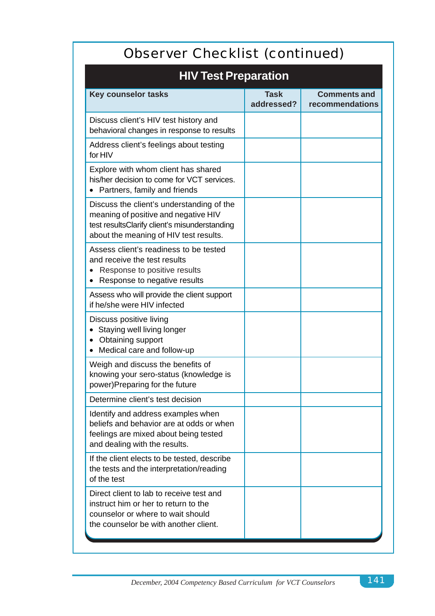| Observer Checklist (continued)                                                                                                                                               |                           |                                        |
|------------------------------------------------------------------------------------------------------------------------------------------------------------------------------|---------------------------|----------------------------------------|
| <b>HIV Test Preparation</b>                                                                                                                                                  |                           |                                        |
| <b>Key counselor tasks</b>                                                                                                                                                   | <b>Task</b><br>addressed? | <b>Comments and</b><br>recommendations |
| Discuss client's HIV test history and<br>behavioral changes in response to results                                                                                           |                           |                                        |
| Address client's feelings about testing<br>for HIV                                                                                                                           |                           |                                        |
| Explore with whom client has shared<br>his/her decision to come for VCT services.<br>Partners, family and friends                                                            |                           |                                        |
| Discuss the client's understanding of the<br>meaning of positive and negative HIV<br>test resultsClarify client's misunderstanding<br>about the meaning of HIV test results. |                           |                                        |
| Assess client's readiness to be tested<br>and receive the test results<br>Response to positive results<br>Response to negative results                                       |                           |                                        |
| Assess who will provide the client support<br>if he/she were HIV infected                                                                                                    |                           |                                        |
| Discuss positive living<br>Staying well living longer<br>Obtaining support<br>Medical care and follow-up                                                                     |                           |                                        |
| Weigh and discuss the benefits of<br>knowing your sero-status (knowledge is<br>power)Preparing for the future                                                                |                           |                                        |
| Determine client's test decision                                                                                                                                             |                           |                                        |
| Identify and address examples when<br>beliefs and behavior are at odds or when<br>feelings are mixed about being tested<br>and dealing with the results.                     |                           |                                        |
| If the client elects to be tested, describe<br>the tests and the interpretation/reading<br>of the test                                                                       |                           |                                        |
| Direct client to lab to receive test and<br>instruct him or her to return to the<br>counselor or where to wait should<br>the counselor be with another client.               |                           |                                        |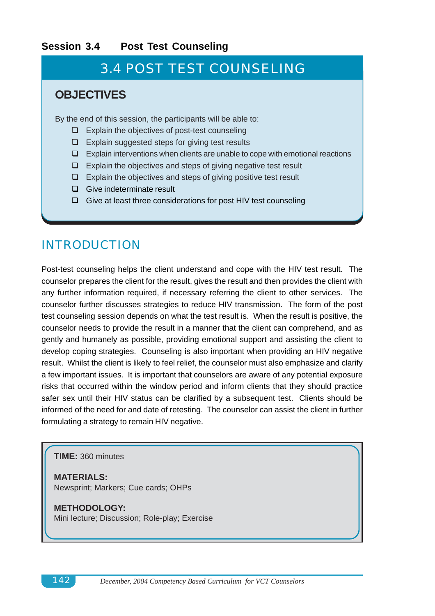## **Session 3.4 Post Test Counseling**

# 3.4 POST TEST COUNSELING

## **OBJECTIVES**

By the end of this session, the participants will be able to:

- $\Box$  Explain the objectives of post-test counseling
- $\Box$  Explain suggested steps for giving test results
- $\Box$  Explain interventions when clients are unable to cope with emotional reactions
- $\Box$  Explain the objectives and steps of giving negative test result
- $\Box$  Explain the objectives and steps of giving positive test result
- $\Box$  Give indeterminate result
- $\Box$  Give at least three considerations for post HIV test counseling

# INTRODUCTION

Post-test counseling helps the client understand and cope with the HIV test result. The counselor prepares the client for the result, gives the result and then provides the client with any further information required, if necessary referring the client to other services. The counselor further discusses strategies to reduce HIV transmission. The form of the post test counseling session depends on what the test result is. When the result is positive, the counselor needs to provide the result in a manner that the client can comprehend, and as gently and humanely as possible, providing emotional support and assisting the client to develop coping strategies. Counseling is also important when providing an HIV negative result. Whilst the client is likely to feel relief, the counselor must also emphasize and clarify a few important issues. It is important that counselors are aware of any potential exposure risks that occurred within the window period and inform clients that they should practice safer sex until their HIV status can be clarified by a subsequent test. Clients should be informed of the need for and date of retesting. The counselor can assist the client in further formulating a strategy to remain HIV negative.

### **TIME:** 360 minutes

**MATERIALS:** Newsprint; Markers; Cue cards; OHPs

**METHODOLOGY:** Mini lecture; Discussion; Role-play; Exercise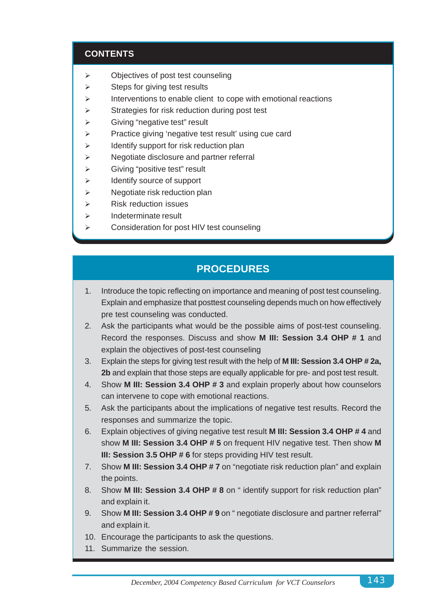## **CONTENTS**

- $\triangleright$  Objectives of post test counseling
- $\triangleright$  Steps for giving test results
- $\triangleright$  Interventions to enable client to cope with emotional reactions
- $\triangleright$  Strategies for risk reduction during post test
- $\triangleright$  Giving "negative test" result
- $\triangleright$  Practice giving 'negative test result' using cue card
- $\triangleright$  Identify support for risk reduction plan
- $\triangleright$  Negotiate disclosure and partner referral
- $\triangleright$  Giving "positive test" result
- $\triangleright$  Identify source of support
- $\triangleright$  Negotiate risk reduction plan
- $\triangleright$  Risk reduction issues
- $\triangleright$  Indeterminate result
- $\triangleright$  Consideration for post HIV test counseling

## **PROCEDURES**

- 1. Introduce the topic reflecting on importance and meaning of post test counseling. Explain and emphasize that posttest counseling depends much on how effectively pre test counseling was conducted.
- 2. Ask the participants what would be the possible aims of post-test counseling. Record the responses. Discuss and show **M III: Session 3.4 OHP # 1** and explain the objectives of post-test counseling
- 3. Explain the steps for giving test result with the help of **M III: Session 3.4 OHP # 2a, 2b** and explain that those steps are equally applicable for pre- and post test result.
- 4. Show **M III: Session 3.4 OHP # 3** and explain properly about how counselors can intervene to cope with emotional reactions.
- 5. Ask the participants about the implications of negative test results. Record the responses and summarize the topic.
- 6. Explain objectives of giving negative test result **M III: Session 3.4 OHP # 4** and show **M III: Session 3.4 OHP # 5** on frequent HIV negative test. Then show **M III: Session 3.5 OHP # 6** for steps providing HIV test result.
- 7. Show **M III: Session 3.4 OHP # 7** on "negotiate risk reduction plan" and explain the points.
- 8. Show **M III: Session 3.4 OHP # 8** on " identify support for risk reduction plan" and explain it.
- 9. Show **M III: Session 3.4 OHP # 9** on " negotiate disclosure and partner referral" and explain it.
- 10. Encourage the participants to ask the questions.
- 11. Summarize the session.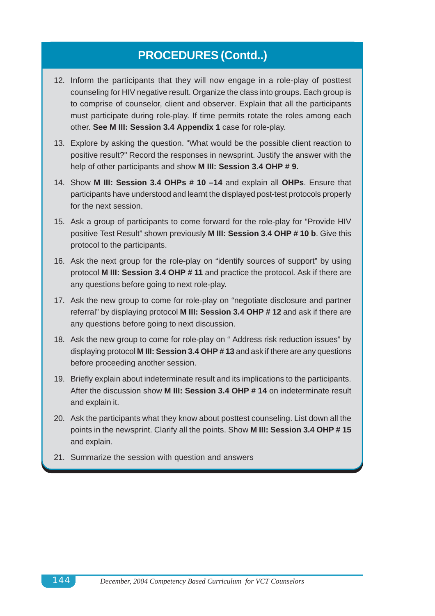# **PROCEDURES (Contd..)**

- 12. Inform the participants that they will now engage in a role-play of posttest counseling for HIV negative result. Organize the class into groups. Each group is to comprise of counselor, client and observer. Explain that all the participants must participate during role-play. If time permits rotate the roles among each other. **See M III: Session 3.4 Appendix 1** case for role-play.
- 13. Explore by asking the question. "What would be the possible client reaction to positive result?" Record the responses in newsprint. Justify the answer with the help of other participants and show **M III: Session 3.4 OHP # 9.**
- 14. Show **M III: Session 3.4 OHPs # 10 –14** and explain all **OHPs**. Ensure that participants have understood and learnt the displayed post-test protocols properly for the next session.
- 15. Ask a group of participants to come forward for the role-play for "Provide HIV positive Test Result" shown previously **M III: Session 3.4 OHP # 10 b**. Give this protocol to the participants.
- 16. Ask the next group for the role-play on "identify sources of support" by using protocol **M III: Session 3.4 OHP # 11** and practice the protocol. Ask if there are any questions before going to next role-play.
- 17. Ask the new group to come for role-play on "negotiate disclosure and partner referral" by displaying protocol **M III: Session 3.4 OHP # 12** and ask if there are any questions before going to next discussion.
- 18. Ask the new group to come for role-play on " Address risk reduction issues" by displaying protocol **M III: Session 3.4 OHP # 13** and ask if there are any questions before proceeding another session.
- 19. Briefly explain about indeterminate result and its implications to the participants. After the discussion show **M III: Session 3.4 OHP # 14** on indeterminate result and explain it.
- 20. Ask the participants what they know about posttest counseling. List down all the points in the newsprint. Clarify all the points. Show **M III: Session 3.4 OHP # 15** and explain.
- 21. Summarize the session with question and answers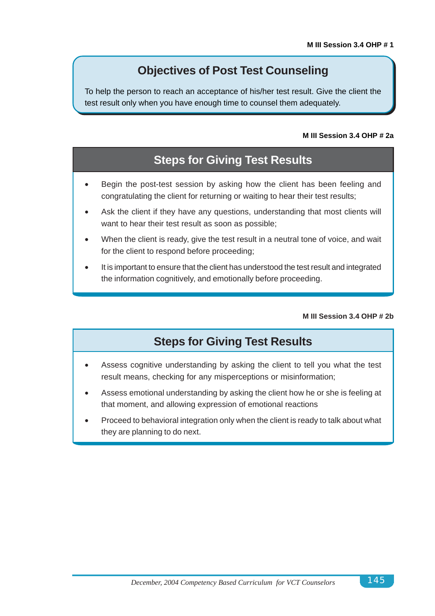## **Objectives of Post Test Counseling**

To help the person to reach an acceptance of his/her test result. Give the client the test result only when you have enough time to counsel them adequately.

### **M III Session 3.4 OHP # 2a**

# **Steps for Giving Test Results**

- Begin the post-test session by asking how the client has been feeling and congratulating the client for returning or waiting to hear their test results;
- Ask the client if they have any questions, understanding that most clients will want to hear their test result as soon as possible;
- When the client is ready, give the test result in a neutral tone of voice, and wait for the client to respond before proceeding;
- It is important to ensure that the client has understood the test result and integrated the information cognitively, and emotionally before proceeding.

### **M III Session 3.4 OHP # 2b**

## **Steps for Giving Test Results**

- Assess cognitive understanding by asking the client to tell you what the test result means, checking for any misperceptions or misinformation;
- Assess emotional understanding by asking the client how he or she is feeling at that moment, and allowing expression of emotional reactions
- Proceed to behavioral integration only when the client is ready to talk about what they are planning to do next.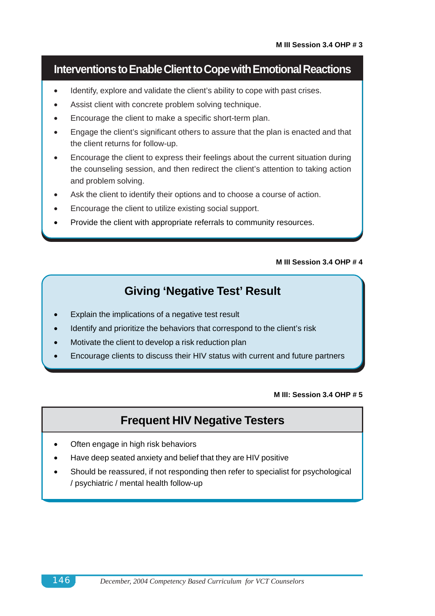## **Interventions to Enable Client to Cope with Emotional Reactions**

- Identify, explore and validate the client's ability to cope with past crises.
- Assist client with concrete problem solving technique.
- Encourage the client to make a specific short-term plan.
- Engage the client's significant others to assure that the plan is enacted and that the client returns for follow-up.
- Encourage the client to express their feelings about the current situation during the counseling session, and then redirect the client's attention to taking action and problem solving.
- Ask the client to identify their options and to choose a course of action.
- Encourage the client to utilize existing social support.
- Provide the client with appropriate referrals to community resources.

### **M III Session 3.4 OHP # 4**

## **Giving 'Negative Test' Result**

- Explain the implications of a negative test result
- Identify and prioritize the behaviors that correspond to the client's risk
- Motivate the client to develop a risk reduction plan
- Encourage clients to discuss their HIV status with current and future partners

### **M III: Session 3.4 OHP # 5**

## **Frequent HIV Negative Testers**

- Often engage in high risk behaviors
- Have deep seated anxiety and belief that they are HIV positive
- Should be reassured, if not responding then refer to specialist for psychological / psychiatric / mental health follow-up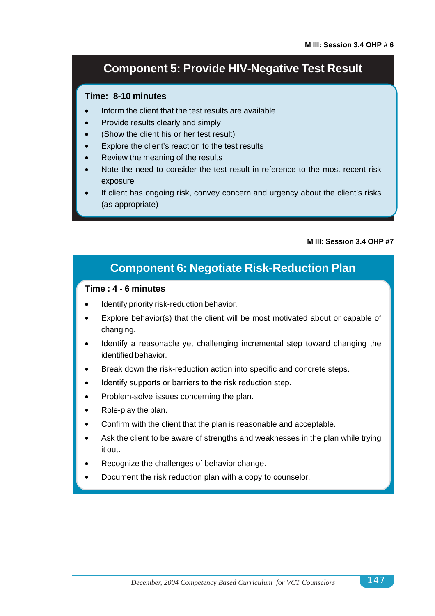## **Component 5: Provide HIV-Negative Test Result**

## **Time: 8-10 minutes**

- Inform the client that the test results are available
- Provide results clearly and simply
- (Show the client his or her test result)
- Explore the client's reaction to the test results
- Review the meaning of the results
- Note the need to consider the test result in reference to the most recent risk exposure
- If client has ongoing risk, convey concern and urgency about the client's risks (as appropriate)

### **M III: Session 3.4 OHP #7**

## **Component 6: Negotiate Risk-Reduction Plan**

### **Time : 4 - 6 minutes**

- Identify priority risk-reduction behavior.
- Explore behavior(s) that the client will be most motivated about or capable of changing.
- Identify a reasonable yet challenging incremental step toward changing the identified behavior.
- Break down the risk-reduction action into specific and concrete steps.
- Identify supports or barriers to the risk reduction step.
- Problem-solve issues concerning the plan.
- Role-play the plan.
- Confirm with the client that the plan is reasonable and acceptable.
- Ask the client to be aware of strengths and weaknesses in the plan while trying it out.
- Recognize the challenges of behavior change.
- Document the risk reduction plan with a copy to counselor.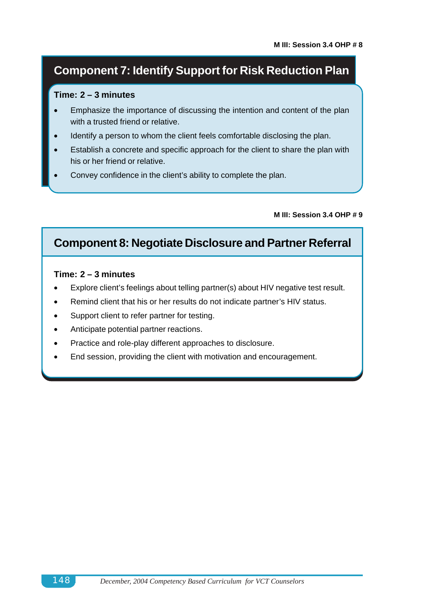# **Component 7: Identify Support for Risk Reduction Plan**

### **Time: 2 – 3 minutes**

- Emphasize the importance of discussing the intention and content of the plan with a trusted friend or relative.
- Identify a person to whom the client feels comfortable disclosing the plan.
- Establish a concrete and specific approach for the client to share the plan with his or her friend or relative.
- Convey confidence in the client's ability to complete the plan.

### **M III: Session 3.4 OHP # 9**

## **Component 8: Negotiate Disclosure and Partner Referral**

### **Time: 2 – 3 minutes**

- Explore client's feelings about telling partner(s) about HIV negative test result.
- Remind client that his or her results do not indicate partner's HIV status.
- Support client to refer partner for testing.
- Anticipate potential partner reactions.
- Practice and role-play different approaches to disclosure.
- End session, providing the client with motivation and encouragement.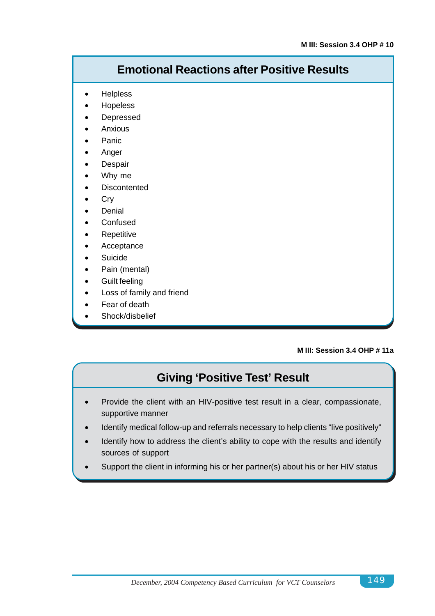# **Emotional Reactions after Positive Results**

- **Helpless**
- **Hopeless**
- **Depressed**
- Anxious
- **Panic**
- Anger
- **Despair**
- Why me
- **Discontented**
- Cry
- **Denial**
- **Confused**
- **Repetitive**
- **Acceptance**
- **Suicide**
- Pain (mental)
- Guilt feeling
- Loss of family and friend
- Fear of death
- Shock/disbelief

### **M III: Session 3.4 OHP # 11a**

## **Giving 'Positive Test' Result**

- Provide the client with an HIV-positive test result in a clear, compassionate, supportive manner
- Identify medical follow-up and referrals necessary to help clients "live positively"
- Identify how to address the client's ability to cope with the results and identify sources of support
- Support the client in informing his or her partner(s) about his or her HIV status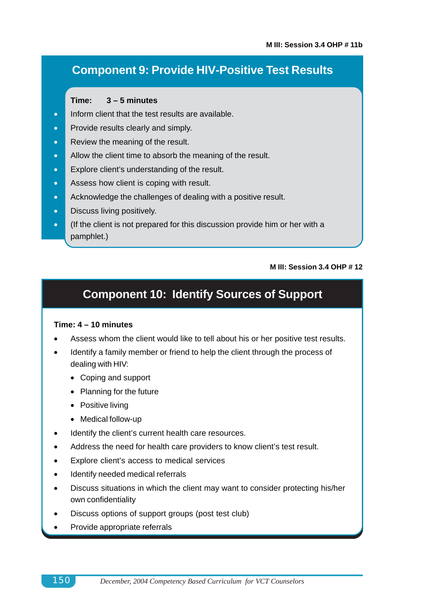# **Component 9: Provide HIV-Positive Test Results**

### **Time: 3 – 5 minutes**

- **•** Inform client that the test results are available.
- Provide results clearly and simply.
- Review the meaning of the result.
- Allow the client time to absorb the meaning of the result.
- Explore client's understanding of the result.
- Assess how client is coping with result.
- Acknowledge the challenges of dealing with a positive result.
- **Discuss living positively.**
- **•** (If the client is not prepared for this discussion provide him or her with a pamphlet.)

### **M III: Session 3.4 OHP # 12**

# **Component 10: Identify Sources of Support**

### **Time: 4 – 10 minutes**

- Assess whom the client would like to tell about his or her positive test results.
- Identify a family member or friend to help the client through the process of dealing with HIV:
	- Coping and support
	- Planning for the future
	- Positive living
	- Medical follow-up
- Identify the client's current health care resources.
- Address the need for health care providers to know client's test result.
- Explore client's access to medical services
- Identify needed medical referrals
- Discuss situations in which the client may want to consider protecting his/her own confidentiality
- Discuss options of support groups (post test club)
- Provide appropriate referrals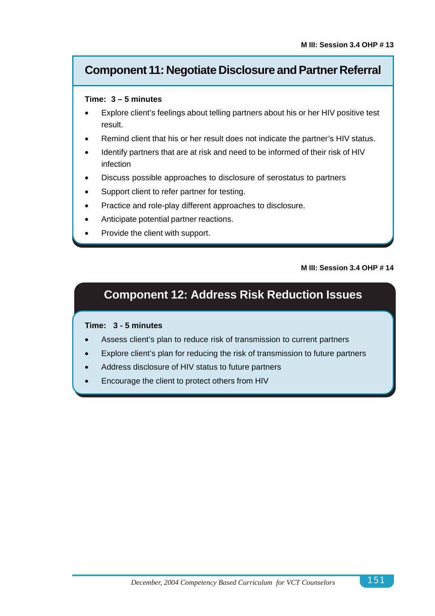## **Component 11: Negotiate Disclosure and Partner Referral**

### **Time: 3 – 5 minutes**

- Explore client's feelings about telling partners about his or her HIV positive test result.
- Remind client that his or her result does not indicate the partner's HIV status.
- Identify partners that are at risk and need to be informed of their risk of HIV infection
- Discuss possible approaches to disclosure of serostatus to partners
- Support client to refer partner for testing.
- Practice and role-play different approaches to disclosure.
- Anticipate potential partner reactions.
- Provide the client with support.

### **M III: Session 3.4 OHP # 14**

# **Component 12: Address Risk Reduction Issues**

### **Time: 3 - 5 minutes**

- Assess client's plan to reduce risk of transmission to current partners
- Explore client's plan for reducing the risk of transmission to future partners
- Address disclosure of HIV status to future partners
- Encourage the client to protect others from HIV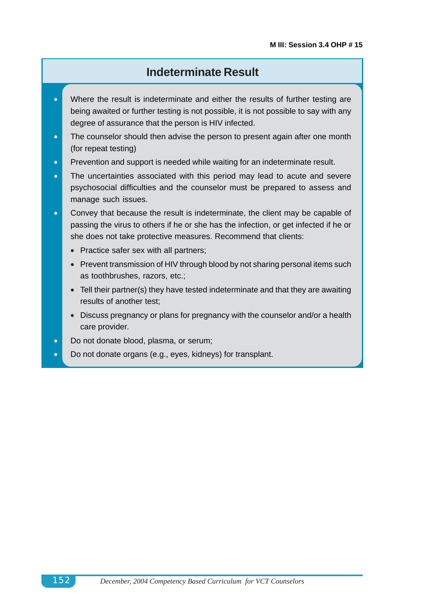## **Indeterminate Result**

- Where the result is indeterminate and either the results of further testing are being awaited or further testing is not possible, it is not possible to say with any degree of assurance that the person is HIV infected.
- The counselor should then advise the person to present again after one month (for repeat testing)
- **•** Prevention and support is needed while waiting for an indeterminate result.
- The uncertainties associated with this period may lead to acute and severe psychosocial difficulties and the counselor must be prepared to assess and manage such issues.
- Convey that because the result is indeterminate, the client may be capable of passing the virus to others if he or she has the infection, or get infected if he or she does not take protective measures. Recommend that clients:
	- Practice safer sex with all partners;
	- Prevent transmission of HIV through blood by not sharing personal items such as toothbrushes, razors, etc.;
	- Tell their partner(s) they have tested indeterminate and that they are awaiting results of another test;
	- Discuss pregnancy or plans for pregnancy with the counselor and/or a health care provider.
- Do not donate blood, plasma, or serum;
- Do not donate organs (e.g., eyes, kidneys) for transplant.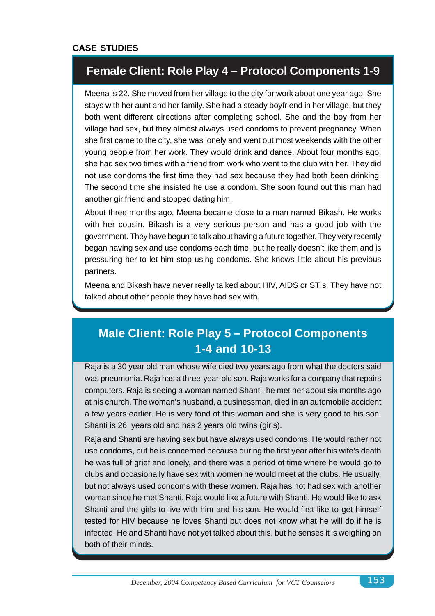## **Female Client: Role Play 4 – Protocol Components 1-9**

Meena is 22. She moved from her village to the city for work about one year ago. She stays with her aunt and her family. She had a steady boyfriend in her village, but they both went different directions after completing school. She and the boy from her village had sex, but they almost always used condoms to prevent pregnancy. When she first came to the city, she was lonely and went out most weekends with the other young people from her work. They would drink and dance. About four months ago, she had sex two times with a friend from work who went to the club with her. They did not use condoms the first time they had sex because they had both been drinking. The second time she insisted he use a condom. She soon found out this man had another girlfriend and stopped dating him.

About three months ago, Meena became close to a man named Bikash. He works with her cousin. Bikash is a very serious person and has a good job with the government. They have begun to talk about having a future together. They very recently began having sex and use condoms each time, but he really doesn't like them and is pressuring her to let him stop using condoms. She knows little about his previous partners.

Meena and Bikash have never really talked about HIV, AIDS or STIs. They have not talked about other people they have had sex with.

# **Male Client: Role Play 5 – Protocol Components 1-4 and 10-13**

Raja is a 30 year old man whose wife died two years ago from what the doctors said was pneumonia. Raja has a three-year-old son. Raja works for a company that repairs computers. Raja is seeing a woman named Shanti; he met her about six months ago at his church. The woman's husband, a businessman, died in an automobile accident a few years earlier. He is very fond of this woman and she is very good to his son. Shanti is 26 years old and has 2 years old twins (girls).

Raja and Shanti are having sex but have always used condoms. He would rather not use condoms, but he is concerned because during the first year after his wife's death he was full of grief and lonely, and there was a period of time where he would go to clubs and occasionally have sex with women he would meet at the clubs. He usually, but not always used condoms with these women. Raja has not had sex with another woman since he met Shanti. Raja would like a future with Shanti. He would like to ask Shanti and the girls to live with him and his son. He would first like to get himself tested for HIV because he loves Shanti but does not know what he will do if he is infected. He and Shanti have not yet talked about this, but he senses it is weighing on both of their minds.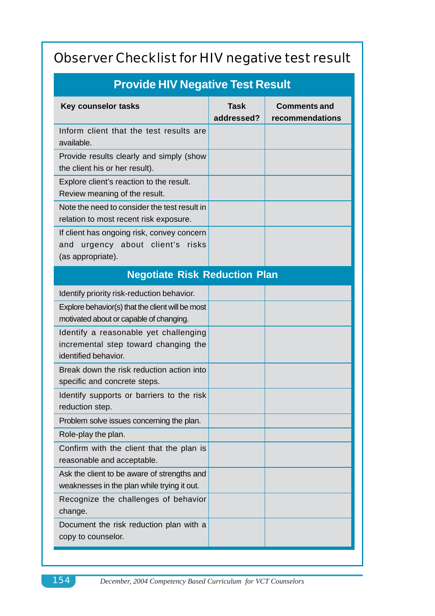# Observer Checklist for HIV negative test result

| <b>Provide HIV Negative Test Result</b>                                                                |                           |                                        |  |
|--------------------------------------------------------------------------------------------------------|---------------------------|----------------------------------------|--|
| Key counselor tasks                                                                                    | <b>Task</b><br>addressed? | <b>Comments and</b><br>recommendations |  |
| Inform client that the test results are<br>available.                                                  |                           |                                        |  |
| Provide results clearly and simply (show<br>the client his or her result).                             |                           |                                        |  |
| Explore client's reaction to the result.<br>Review meaning of the result.                              |                           |                                        |  |
| Note the need to consider the test result in<br>relation to most recent risk exposure.                 |                           |                                        |  |
| If client has ongoing risk, convey concern<br>urgency about client's risks<br>and<br>(as appropriate). |                           |                                        |  |
| <b>Negotiate Risk Reduction Plan</b>                                                                   |                           |                                        |  |
| Identify priority risk-reduction behavior.                                                             |                           |                                        |  |
| Explore behavior(s) that the client will be most<br>motivated about or capable of changing.            |                           |                                        |  |
| Identify a reasonable yet challenging<br>incremental step toward changing the<br>identified behavior.  |                           |                                        |  |
| Break down the risk reduction action into<br>specific and concrete steps.                              |                           |                                        |  |
| Identify supports or barriers to the risk<br>reduction step.                                           |                           |                                        |  |
| Problem solve issues concerning the plan.                                                              |                           |                                        |  |
| Role-play the plan.                                                                                    |                           |                                        |  |
| Confirm with the client that the plan is<br>reasonable and acceptable.                                 |                           |                                        |  |
| Ask the client to be aware of strengths and<br>weaknesses in the plan while trying it out.             |                           |                                        |  |
| Recognize the challenges of behavior<br>change.                                                        |                           |                                        |  |
| Document the risk reduction plan with a<br>copy to counselor.                                          |                           |                                        |  |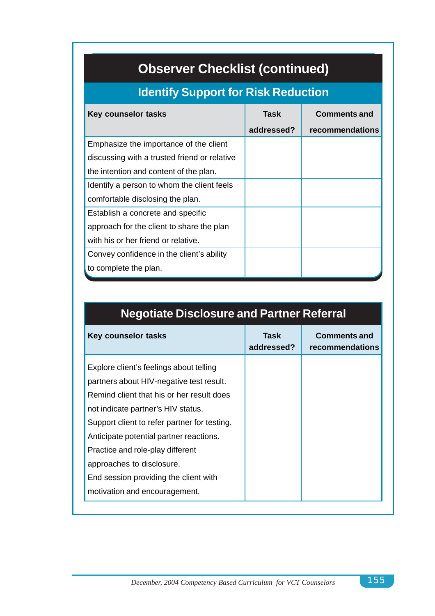# **Observer Checklist (continued)**

# **Identify Support for Risk Reduction**

| Key counselor tasks                          | Task       | <b>Comments and</b> |
|----------------------------------------------|------------|---------------------|
|                                              | addressed? | recommendations     |
| Emphasize the importance of the client       |            |                     |
| discussing with a trusted friend or relative |            |                     |
| the intention and content of the plan.       |            |                     |
| Identify a person to whom the client feels   |            |                     |
| comfortable disclosing the plan.             |            |                     |
| Establish a concrete and specific            |            |                     |
| approach for the client to share the plan    |            |                     |
| with his or her friend or relative.          |            |                     |
| Convey confidence in the client's ability    |            |                     |
| to complete the plan.                        |            |                     |

| <b>Key counselor tasks</b>                                                                                                                                                                                                                                                                                                                                                  | Task<br>addressed? | <b>Comments and</b><br>recommendations |
|-----------------------------------------------------------------------------------------------------------------------------------------------------------------------------------------------------------------------------------------------------------------------------------------------------------------------------------------------------------------------------|--------------------|----------------------------------------|
| Explore client's feelings about telling<br>partners about HIV-negative test result.<br>Remind client that his or her result does<br>not indicate partner's HIV status.<br>Support client to refer partner for testing.<br>Anticipate potential partner reactions.<br>Practice and role-play different<br>approaches to disclosure.<br>End session providing the client with |                    |                                        |

# **Negotiate Disclosure and Partner Referral**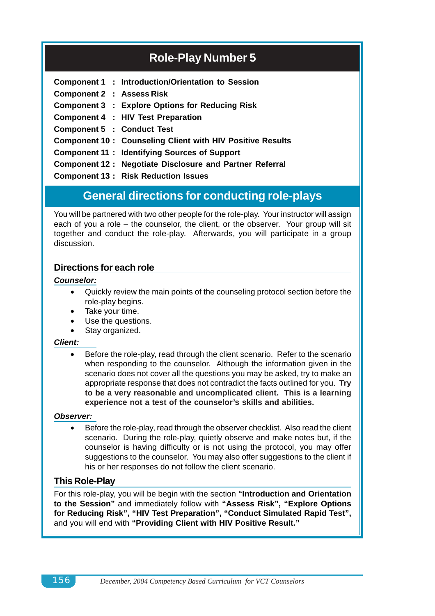# **Role-Play Number 5**

|                                   | Component 1 : Introduction/Orientation to Session                |
|-----------------------------------|------------------------------------------------------------------|
| <b>Component 2 : Assess Risk</b>  |                                                                  |
|                                   | <b>Component 3 : Explore Options for Reducing Risk</b>           |
|                                   | Component 4 : HIV Test Preparation                               |
| <b>Component 5 : Conduct Test</b> |                                                                  |
|                                   | <b>Component 10: Counseling Client with HIV Positive Results</b> |
|                                   | <b>Component 11: Identifying Sources of Support</b>              |
|                                   | <b>Component 12: Negotiate Disclosure and Partner Referral</b>   |
|                                   | <b>Component 13: Risk Reduction Issues</b>                       |
|                                   |                                                                  |

## **General directions for conducting role-plays**

You will be partnered with two other people for the role-play. Your instructor will assign each of you a role – the counselor, the client, or the observer. Your group will sit together and conduct the role-play. Afterwards, you will participate in a group discussion.

## **Directions for each role**

### *Counselor:*

- Quickly review the main points of the counseling protocol section before the role-play begins.
- Take your time.
- Use the questions.
- Stay organized.

### *Client:*

• Before the role-play, read through the client scenario. Refer to the scenario when responding to the counselor. Although the information given in the scenario does not cover all the questions you may be asked, try to make an appropriate response that does not contradict the facts outlined for you. **Try to be a very reasonable and uncomplicated client. This is a learning experience not a test of the counselor's skills and abilities.**

### *Observer:*

• Before the role-play, read through the observer checklist. Also read the client scenario. During the role-play, quietly observe and make notes but, if the counselor is having difficulty or is not using the protocol, you may offer suggestions to the counselor. You may also offer suggestions to the client if his or her responses do not follow the client scenario.

## **This Role-Play**

For this role-play, you will be begin with the section **"Introduction and Orientation to the Session"** and immediately follow with **"Assess Risk", "Explore Options for Reducing Risk", "HIV Test Preparation", "Conduct Simulated Rapid Test",** and you will end with **"Providing Client with HIV Positive Result."**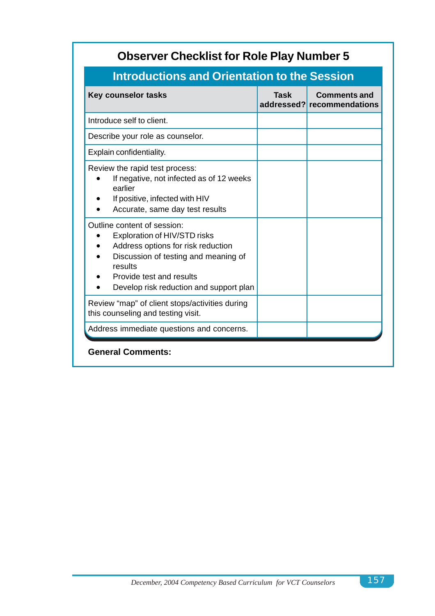| <b>Observer Checklist for Role Play Number 5</b>    |                                                   |  |
|-----------------------------------------------------|---------------------------------------------------|--|
| <b>Introductions and Orientation to the Session</b> |                                                   |  |
| <b>Task</b>                                         | <b>Comments and</b><br>addressed? recommendations |  |
|                                                     |                                                   |  |
|                                                     |                                                   |  |
|                                                     |                                                   |  |
|                                                     |                                                   |  |
|                                                     |                                                   |  |
|                                                     |                                                   |  |
|                                                     |                                                   |  |
|                                                     |                                                   |  |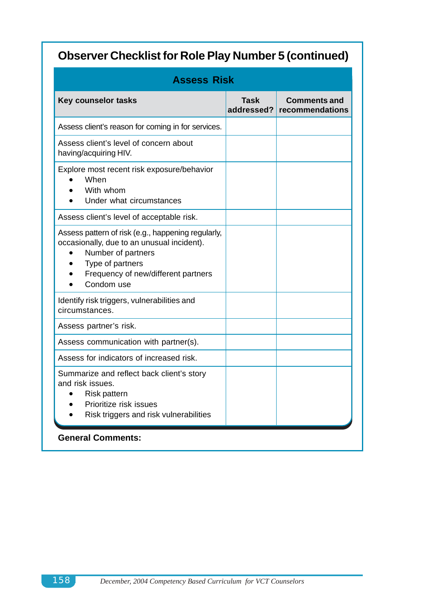| <b>Assess Risk</b>                                                                                                                                                                              |                    |                                        |
|-------------------------------------------------------------------------------------------------------------------------------------------------------------------------------------------------|--------------------|----------------------------------------|
| <b>Key counselor tasks</b>                                                                                                                                                                      | Task<br>addressed? | <b>Comments and</b><br>recommendations |
| Assess client's reason for coming in for services.                                                                                                                                              |                    |                                        |
| Assess client's level of concern about<br>having/acquiring HIV.                                                                                                                                 |                    |                                        |
| Explore most recent risk exposure/behavior<br>When<br>With whom<br>Under what circumstances                                                                                                     |                    |                                        |
| Assess client's level of acceptable risk.                                                                                                                                                       |                    |                                        |
| Assess pattern of risk (e.g., happening regularly,<br>occasionally, due to an unusual incident).<br>Number of partners<br>Type of partners<br>Frequency of new/different partners<br>Condom use |                    |                                        |
| Identify risk triggers, vulnerabilities and<br>circumstances.                                                                                                                                   |                    |                                        |
| Assess partner's risk.                                                                                                                                                                          |                    |                                        |
| Assess communication with partner(s).                                                                                                                                                           |                    |                                        |
| Assess for indicators of increased risk.                                                                                                                                                        |                    |                                        |
| Summarize and reflect back client's story<br>and risk issues.<br><b>Risk pattern</b><br>Prioritize risk issues<br>Risk triggers and risk vulnerabilities                                        |                    |                                        |
| <b>General Comments:</b>                                                                                                                                                                        |                    |                                        |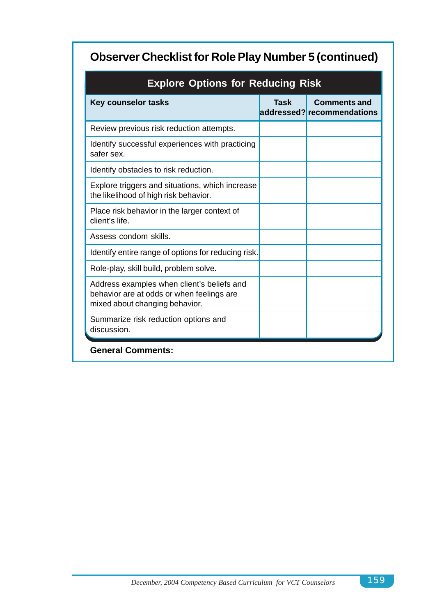| <b>Explore Options for Reducing Risk</b>                                                                                  |      |                                                   |
|---------------------------------------------------------------------------------------------------------------------------|------|---------------------------------------------------|
| <b>Key counselor tasks</b>                                                                                                | Task | <b>Comments and</b><br>addressed? recommendations |
| Review previous risk reduction attempts.                                                                                  |      |                                                   |
| Identify successful experiences with practicing<br>safer sex.                                                             |      |                                                   |
| Identify obstacles to risk reduction.                                                                                     |      |                                                   |
| Explore triggers and situations, which increase<br>the likelihood of high risk behavior.                                  |      |                                                   |
| Place risk behavior in the larger context of<br>client's life.                                                            |      |                                                   |
| Assess condom skills.                                                                                                     |      |                                                   |
| Identify entire range of options for reducing risk.                                                                       |      |                                                   |
| Role-play, skill build, problem solve.                                                                                    |      |                                                   |
| Address examples when client's beliefs and<br>behavior are at odds or when feelings are<br>mixed about changing behavior. |      |                                                   |
| Summarize risk reduction options and<br>discussion.                                                                       |      |                                                   |
| <b>General Comments:</b>                                                                                                  |      |                                                   |

## **Explore Options for Reducing Risk**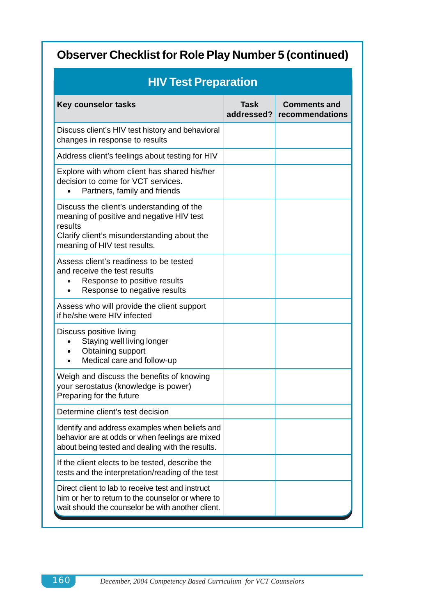| <b>HIV Test Preparation</b>                                                                                                                                                      |                    |                                        |
|----------------------------------------------------------------------------------------------------------------------------------------------------------------------------------|--------------------|----------------------------------------|
| <b>Key counselor tasks</b>                                                                                                                                                       | Task<br>addressed? | <b>Comments and</b><br>recommendations |
| Discuss client's HIV test history and behavioral<br>changes in response to results                                                                                               |                    |                                        |
| Address client's feelings about testing for HIV                                                                                                                                  |                    |                                        |
| Explore with whom client has shared his/her<br>decision to come for VCT services.<br>Partners, family and friends                                                                |                    |                                        |
| Discuss the client's understanding of the<br>meaning of positive and negative HIV test<br>results<br>Clarify client's misunderstanding about the<br>meaning of HIV test results. |                    |                                        |
| Assess client's readiness to be tested<br>and receive the test results<br>Response to positive results<br>Response to negative results                                           |                    |                                        |
| Assess who will provide the client support<br>if he/she were HIV infected                                                                                                        |                    |                                        |
| Discuss positive living<br>Staying well living longer<br>Obtaining support<br>Medical care and follow-up                                                                         |                    |                                        |
| Weigh and discuss the benefits of knowing<br>your serostatus (knowledge is power)<br>Preparing for the future                                                                    |                    |                                        |
| Determine client's test decision                                                                                                                                                 |                    |                                        |
| Identify and address examples when beliefs and<br>behavior are at odds or when feelings are mixed<br>about being tested and dealing with the results.                            |                    |                                        |
| If the client elects to be tested, describe the<br>tests and the interpretation/reading of the test                                                                              |                    |                                        |
| Direct client to lab to receive test and instruct<br>him or her to return to the counselor or where to<br>wait should the counselor be with another client.                      |                    |                                        |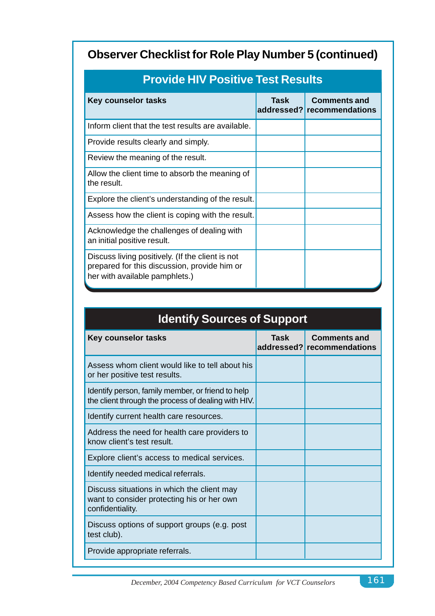| <b>Key counselor tasks</b>                                                                                                         | Task | <b>Comments and</b><br>addressed? recommendations |  |
|------------------------------------------------------------------------------------------------------------------------------------|------|---------------------------------------------------|--|
| Inform client that the test results are available.                                                                                 |      |                                                   |  |
| Provide results clearly and simply.                                                                                                |      |                                                   |  |
| Review the meaning of the result.                                                                                                  |      |                                                   |  |
| Allow the client time to absorb the meaning of<br>the result.                                                                      |      |                                                   |  |
| Explore the client's understanding of the result.                                                                                  |      |                                                   |  |
| Assess how the client is coping with the result.                                                                                   |      |                                                   |  |
| Acknowledge the challenges of dealing with<br>an initial positive result.                                                          |      |                                                   |  |
| Discuss living positively. (If the client is not<br>prepared for this discussion, provide him or<br>her with available pamphlets.) |      |                                                   |  |

# **Provide HIV Positive Test Results**

# **Identify Sources of Support Key counselor tasks Task Comments and Rey counselor tasks addressed? recommendations** Assess whom client would like to tell about his or her positive test results. Identify person, family member, or friend to help the client through the process of dealing with HIV. Identify current health care resources. Address the need for health care providers to know client's test result. Explore client's access to medical services. Identify needed medical referrals. Discuss situations in which the client may want to consider protecting his or her own confidentiality. Discuss options of support groups (e.g. post test club). Provide appropriate referrals.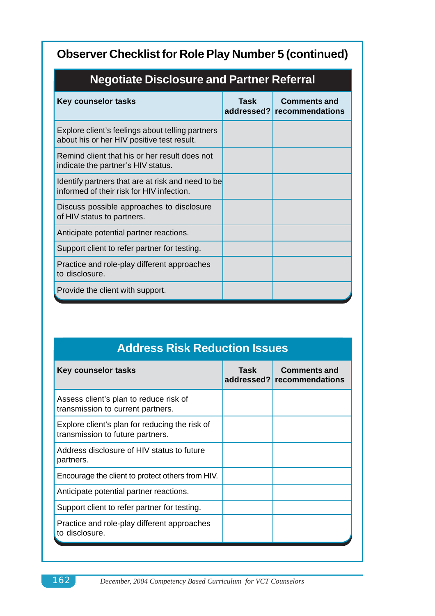| Negotiate Disclosure and Partner Referral                                                      |      |                                                   |  |
|------------------------------------------------------------------------------------------------|------|---------------------------------------------------|--|
| <b>Key counselor tasks</b>                                                                     | Task | <b>Comments and</b><br>addressed? recommendations |  |
| Explore client's feelings about telling partners<br>about his or her HIV positive test result. |      |                                                   |  |
| Remind client that his or her result does not<br>indicate the partner's HIV status.            |      |                                                   |  |
| Identify partners that are at risk and need to be<br>informed of their risk for HIV infection. |      |                                                   |  |
| Discuss possible approaches to disclosure<br>of HIV status to partners.                        |      |                                                   |  |
| Anticipate potential partner reactions.                                                        |      |                                                   |  |
| Support client to refer partner for testing.                                                   |      |                                                   |  |
| Practice and role-play different approaches<br>to disclosure.                                  |      |                                                   |  |
| Provide the client with support.                                                               |      |                                                   |  |

# **Negotiate Disclosure and Partner Referral**

# **Address Risk Reduction Issues**

| Task | <b>Comments and</b><br>addressed? recommendations |
|------|---------------------------------------------------|
|      |                                                   |
|      |                                                   |
|      |                                                   |
|      |                                                   |
|      |                                                   |
|      |                                                   |
|      |                                                   |
|      |                                                   |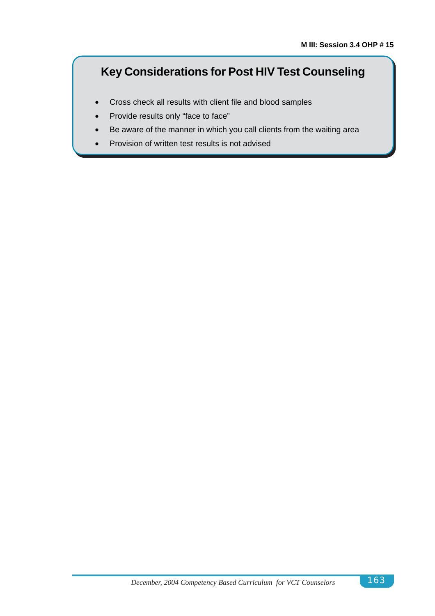# **Key Considerations for Post HIV Test Counseling**

- Cross check all results with client file and blood samples
- Provide results only "face to face"
- Be aware of the manner in which you call clients from the waiting area
- Provision of written test results is not advised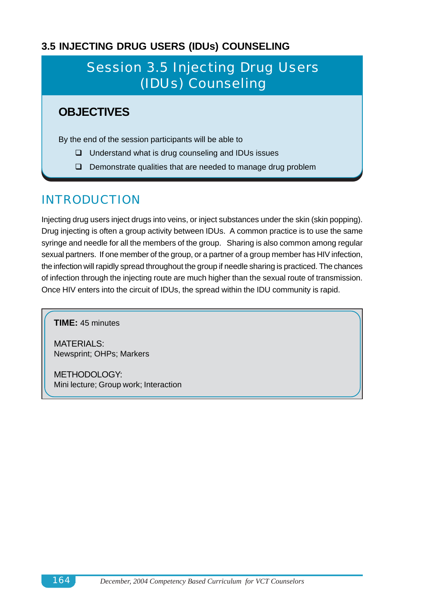## **3.5 INJECTING DRUG USERS (IDUs) COUNSELING**

# Session 3.5 Injecting Drug Users (IDUs) Counseling

# **OBJECTIVES**

By the end of the session participants will be able to

- $\Box$  Understand what is drug counseling and IDUs issues
- $\Box$  Demonstrate qualities that are needed to manage drug problem

# INTRODUCTION

Injecting drug users inject drugs into veins, or inject substances under the skin (skin popping). Drug injecting is often a group activity between IDUs. A common practice is to use the same syringe and needle for all the members of the group. Sharing is also common among regular sexual partners. If one member of the group, or a partner of a group member has HIV infection, the infection will rapidly spread throughout the group if needle sharing is practiced. The chances of infection through the injecting route are much higher than the sexual route of transmission. Once HIV enters into the circuit of IDUs, the spread within the IDU community is rapid.

**TIME:** 45 minutes

MATERIALS: Newsprint; OHPs; Markers

METHODOLOGY: Mini lecture; Group work; Interaction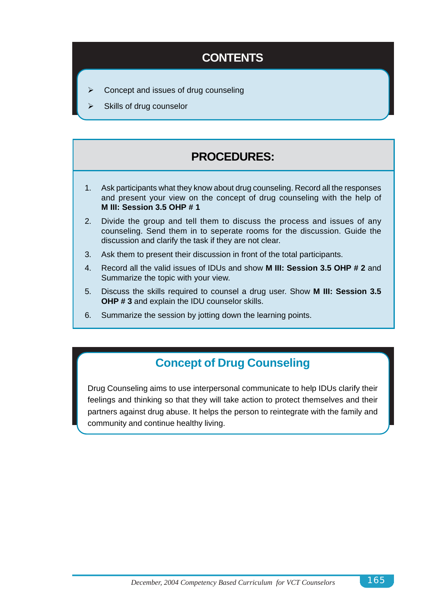# **CONTENTS**

- Concept and issues of drug counseling
- Skills of drug counselor

# **PROCEDURES:**

- 1. Ask participants what they know about drug counseling. Record all the responses and present your view on the concept of drug counseling with the help of **M III: Session 3.5 OHP # 1**
- 2. Divide the group and tell them to discuss the process and issues of any counseling. Send them in to seperate rooms for the discussion. Guide the discussion and clarify the task if they are not clear.
- 3. Ask them to present their discussion in front of the total participants.
- 4. Record all the valid issues of IDUs and show **M III: Session 3.5 OHP # 2** and Summarize the topic with your view.
- 5. Discuss the skills required to counsel a drug user. Show **M III: Session 3.5 OHP # 3** and explain the IDU counselor skills.
- 6. Summarize the session by jotting down the learning points.

# **Concept of Drug Counseling**

Drug Counseling aims to use interpersonal communicate to help IDUs clarify their feelings and thinking so that they will take action to protect themselves and their partners against drug abuse. It helps the person to reintegrate with the family and community and continue healthy living.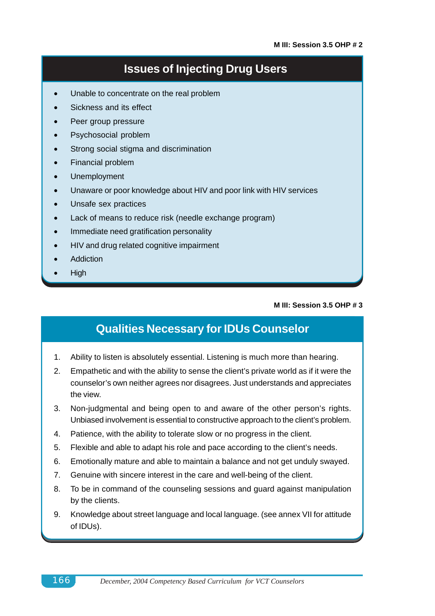## **Issues of Injecting Drug Users**

- Unable to concentrate on the real problem
- Sickness and its effect
- Peer group pressure
- Psychosocial problem
- Strong social stigma and discrimination
- Financial problem
- Unemployment
- Unaware or poor knowledge about HIV and poor link with HIV services
- Unsafe sex practices
- Lack of means to reduce risk (needle exchange program)
- Immediate need gratification personality
- HIV and drug related cognitive impairment
- **Addiction**
- High

### **M III: Session 3.5 OHP # 3**

## **Qualities Necessary for IDUs Counselor**

- 1. Ability to listen is absolutely essential. Listening is much more than hearing.
- 2. Empathetic and with the ability to sense the client's private world as if it were the counselor's own neither agrees nor disagrees. Just understands and appreciates the view.
- 3. Non-judgmental and being open to and aware of the other person's rights. Unbiased involvement is essential to constructive approach to the client's problem.
- 4. Patience, with the ability to tolerate slow or no progress in the client.
- 5. Flexible and able to adapt his role and pace according to the client's needs.
- 6. Emotionally mature and able to maintain a balance and not get unduly swayed.
- 7. Genuine with sincere interest in the care and well-being of the client.
- 8. To be in command of the counseling sessions and guard against manipulation by the clients.
- 9. Knowledge about street language and local language. (see annex VII for attitude of IDUs).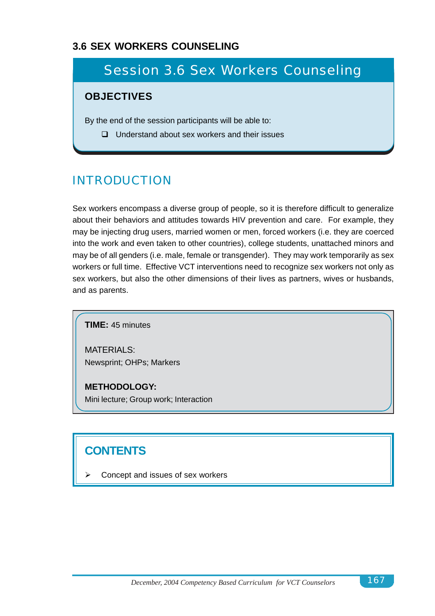## **3.6 SEX WORKERS COUNSELING**

# Session 3.6 Sex Workers Counseling

## **OBJECTIVES**

By the end of the session participants will be able to:

 $\Box$  Understand about sex workers and their issues

# INTRODUCTION

Sex workers encompass a diverse group of people, so it is therefore difficult to generalize about their behaviors and attitudes towards HIV prevention and care. For example, they may be injecting drug users, married women or men, forced workers (i.e. they are coerced into the work and even taken to other countries), college students, unattached minors and may be of all genders (i.e. male, female or transgender). They may work temporarily as sex workers or full time. Effective VCT interventions need to recognize sex workers not only as sex workers, but also the other dimensions of their lives as partners, wives or husbands, and as parents.

**TIME:** 45 minutes

MATERIALS: Newsprint; OHPs; Markers

**METHODOLOGY:** Mini lecture; Group work; Interaction

# **CONTENTS**

Concept and issues of sex workers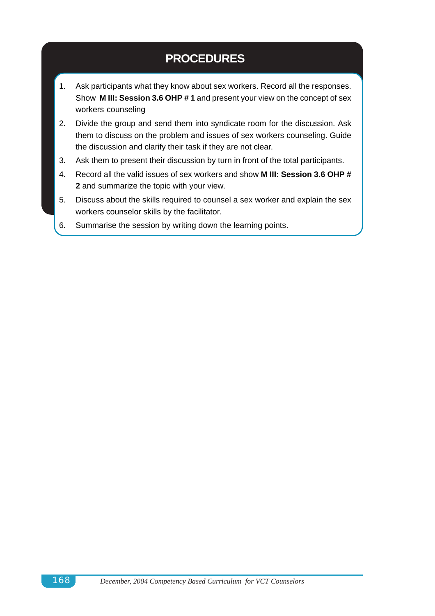# **PROCEDURES**

- 1. Ask participants what they know about sex workers. Record all the responses. Show **M III: Session 3.6 OHP # 1** and present your view on the concept of sex workers counseling
- 2. Divide the group and send them into syndicate room for the discussion. Ask them to discuss on the problem and issues of sex workers counseling. Guide the discussion and clarify their task if they are not clear.
- 3. Ask them to present their discussion by turn in front of the total participants.
- 4. Record all the valid issues of sex workers and show **M III: Session 3.6 OHP # 2** and summarize the topic with your view.
- 5. Discuss about the skills required to counsel a sex worker and explain the sex workers counselor skills by the facilitator.
- 6. Summarise the session by writing down the learning points.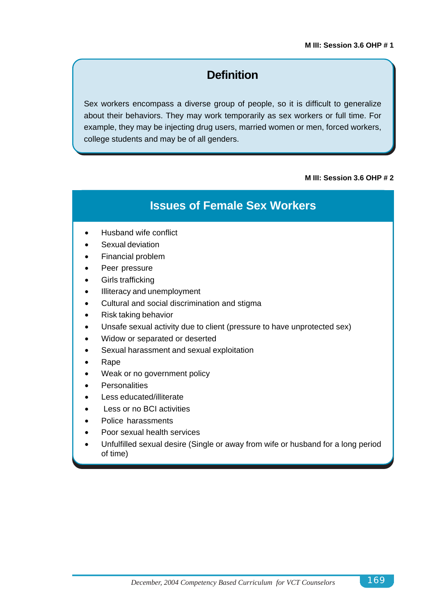# **Definition**

Sex workers encompass a diverse group of people, so it is difficult to generalize about their behaviors. They may work temporarily as sex workers or full time. For example, they may be injecting drug users, married women or men, forced workers, college students and may be of all genders.

### **M III: Session 3.6 OHP # 2**

## **Issues of Female Sex Workers**

- Husband wife conflict
- Sexual deviation
- Financial problem
- Peer pressure
- Girls trafficking
- Illiteracy and unemployment
- Cultural and social discrimination and stigma
- Risk taking behavior
- Unsafe sexual activity due to client (pressure to have unprotected sex)
- Widow or separated or deserted
- Sexual harassment and sexual exploitation
- Rape
- Weak or no government policy
- **Personalities**
- Less educated/illiterate
- Less or no BCI activities
- Police harassments
- Poor sexual health services
- Unfulfilled sexual desire (Single or away from wife or husband for a long period of time)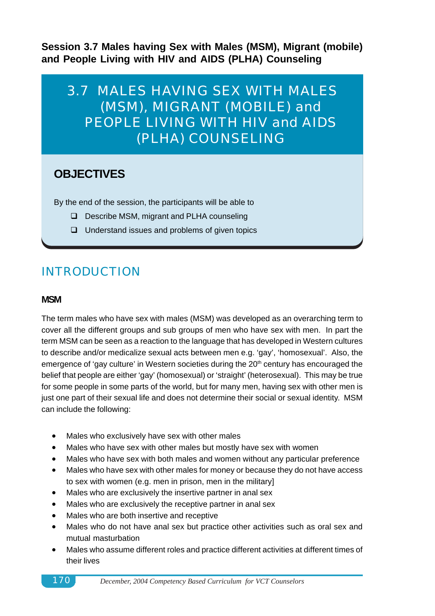**Session 3.7 Males having Sex with Males (MSM), Migrant (mobile) and People Living with HIV and AIDS (PLHA) Counseling**

3.7 MALES HAVING SEX WITH MALES (MSM), MIGRANT (MOBILE) and PEOPLE LIVING WITH HIV and AIDS (PLHA) COUNSELING

# **OBJECTIVES**

By the end of the session, the participants will be able to

- □ Describe MSM, migrant and PLHA counseling
- $\Box$  Understand issues and problems of given topics

# INTRODUCTION

### **MSM**

The term males who have sex with males (MSM) was developed as an overarching term to cover all the different groups and sub groups of men who have sex with men. In part the term MSM can be seen as a reaction to the language that has developed in Western cultures to describe and/or medicalize sexual acts between men e.g. 'gay', 'homosexual'. Also, the emergence of 'gay culture' in Western societies during the 20<sup>th</sup> century has encouraged the belief that people are either 'gay' (homosexual) or 'straight' (heterosexual). This may be true for some people in some parts of the world, but for many men, having sex with other men is just one part of their sexual life and does not determine their social or sexual identity. MSM can include the following:

- Males who exclusively have sex with other males
- Males who have sex with other males but mostly have sex with women
- Males who have sex with both males and women without any particular preference
- Males who have sex with other males for money or because they do not have access to sex with women (e.g. men in prison, men in the military]
- Males who are exclusively the insertive partner in anal sex
- Males who are exclusively the receptive partner in anal sex
- Males who are both insertive and receptive
- Males who do not have anal sex but practice other activities such as oral sex and mutual masturbation
- Males who assume different roles and practice different activities at different times of their lives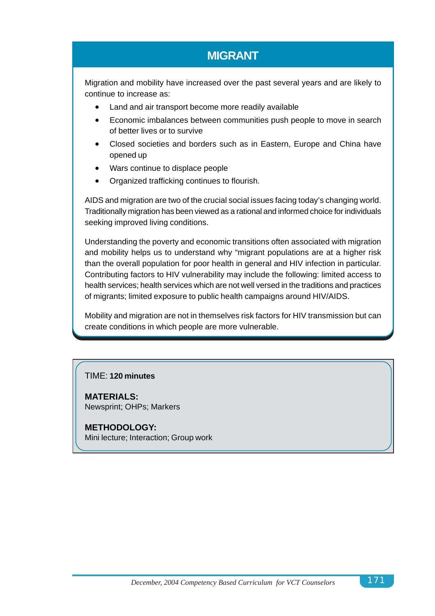# **MIGRANT**

Migration and mobility have increased over the past several years and are likely to continue to increase as:

- Land and air transport become more readily available
- Economic imbalances between communities push people to move in search of better lives or to survive
- Closed societies and borders such as in Eastern, Europe and China have opened up
- Wars continue to displace people
- Organized trafficking continues to flourish.

AIDS and migration are two of the crucial social issues facing today's changing world. Traditionally migration has been viewed as a rational and informed choice for individuals seeking improved living conditions.

Understanding the poverty and economic transitions often associated with migration and mobility helps us to understand why "migrant populations are at a higher risk than the overall population for poor health in general and HIV infection in particular. Contributing factors to HIV vulnerability may include the following: limited access to health services; health services which are not well versed in the traditions and practices of migrants; limited exposure to public health campaigns around HIV/AIDS.

Mobility and migration are not in themselves risk factors for HIV transmission but can create conditions in which people are more vulnerable.

## TIME: **120 minutes**

**MATERIALS:** Newsprint; OHPs; Markers

**METHODOLOGY:** Mini lecture; Interaction; Group work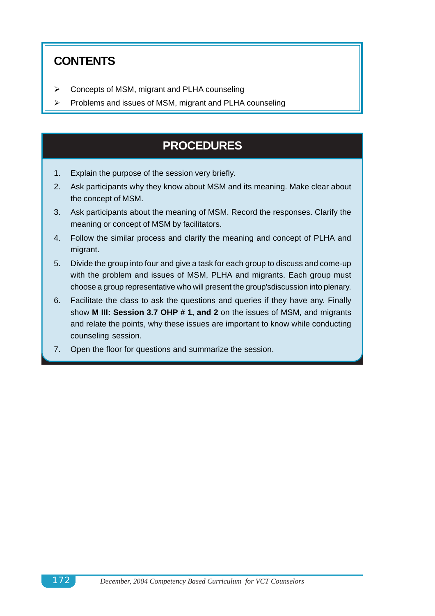# **CONTENTS**

- Concepts of MSM, migrant and PLHA counseling
- Problems and issues of MSM, migrant and PLHA counseling

# **PROCEDURES**

- 1. Explain the purpose of the session very briefly.
- 2. Ask participants why they know about MSM and its meaning. Make clear about the concept of MSM.
- 3. Ask participants about the meaning of MSM. Record the responses. Clarify the meaning or concept of MSM by facilitators.
- 4. Follow the similar process and clarify the meaning and concept of PLHA and migrant.
- 5. Divide the group into four and give a task for each group to discuss and come-up with the problem and issues of MSM, PLHA and migrants. Each group must choose a group representative who will present the group'sdiscussion into plenary.
- 6. Facilitate the class to ask the questions and queries if they have any. Finally show **M III: Session 3.7 OHP # 1, and 2** on the issues of MSM, and migrants and relate the points, why these issues are important to know while conducting counseling session.
- 7. Open the floor for questions and summarize the session.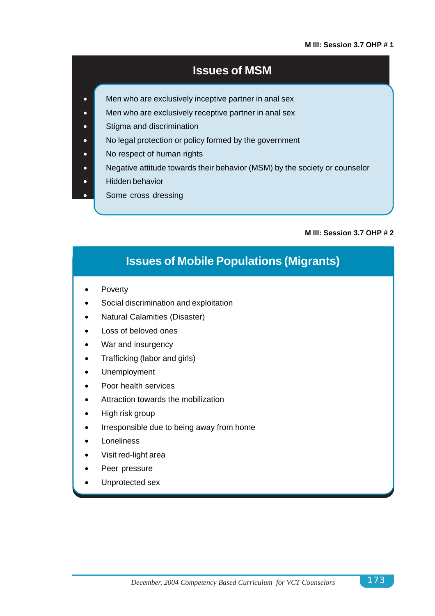#### **M III: Session 3.7 OHP # 1**

## **Issues of MSM**

- Men who are exclusively inceptive partner in anal sex
- Men who are exclusively receptive partner in anal sex
- **•** Stigma and discrimination
- No legal protection or policy formed by the government
- No respect of human rights
- Negative attitude towards their behavior (MSM) by the society or counselor
- **•** Hidden behavior
- Some cross dressing

#### **M III: Session 3.7 OHP # 2**

# **Issues of Mobile Populations (Migrants)**

- **Poverty**
- Social discrimination and exploitation
- Natural Calamities (Disaster)
- Loss of beloved ones
- War and insurgency
- Trafficking (labor and girls)
- Unemployment
- Poor health services
- Attraction towards the mobilization
- High risk group
- Irresponsible due to being away from home
- **Loneliness**
- Visit red-light area
- Peer pressure
- Unprotected sex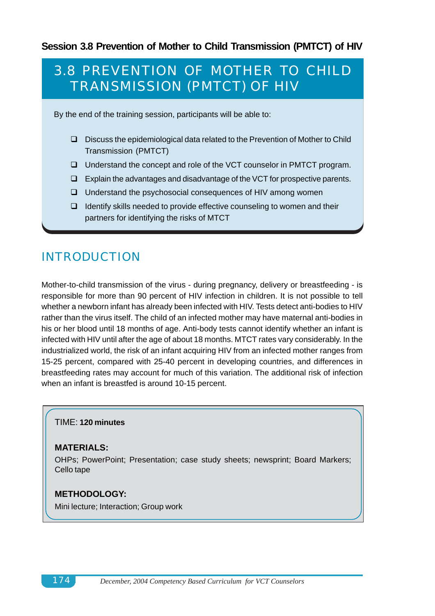## **Session 3.8 Prevention of Mother to Child Transmission (PMTCT) of HIV**

# 3.8 PREVENTION OF MOTHER TO CHILD TRANSMISSION (PMTCT) OF HIV

By the end of the training session, participants will be able to:

- $\Box$  Discuss the epidemiological data related to the Prevention of Mother to Child Transmission (PMTCT)
- □ Understand the concept and role of the VCT counselor in PMTCT program.
- $\Box$  Explain the advantages and disadvantage of the VCT for prospective parents.
- $\Box$  Understand the psychosocial consequences of HIV among women
- $\Box$  Identify skills needed to provide effective counseling to women and their partners for identifying the risks of MTCT

# INTRODUCTION

Mother-to-child transmission of the virus - during pregnancy, delivery or breastfeeding - is responsible for more than 90 percent of HIV infection in children. It is not possible to tell whether a newborn infant has already been infected with HIV. Tests detect anti-bodies to HIV rather than the virus itself. The child of an infected mother may have maternal anti-bodies in his or her blood until 18 months of age. Anti-body tests cannot identify whether an infant is infected with HIV until after the age of about 18 months. MTCT rates vary considerably. In the industrialized world, the risk of an infant acquiring HIV from an infected mother ranges from 15-25 percent, compared with 25-40 percent in developing countries, and differences in breastfeeding rates may account for much of this variation. The additional risk of infection when an infant is breastfed is around 10-15 percent.

### TIME: **120 minutes**

### **MATERIALS:**

OHPs; PowerPoint; Presentation; case study sheets; newsprint; Board Markers; Cello tape

### **METHODOLOGY:**

Mini lecture; Interaction; Group work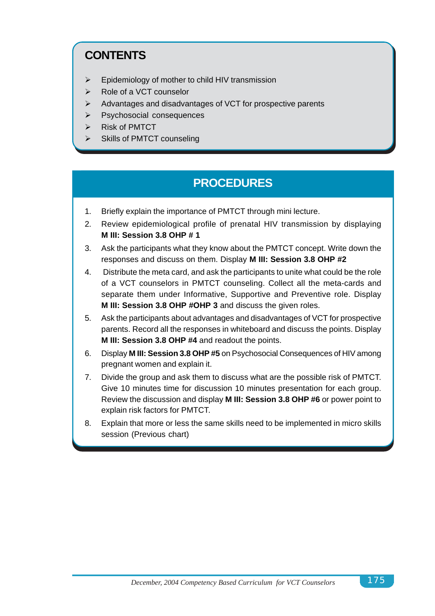# **CONTENTS**

- $\triangleright$  Epidemiology of mother to child HIV transmission
- > Role of a VCT counselor
- $\triangleright$  Advantages and disadvantages of VCT for prospective parents
- > Psychosocial consequences
- $\triangleright$  Risk of PMTCT
- > Skills of PMTCT counseling

# **PROCEDURES**

- 1. Briefly explain the importance of PMTCT through mini lecture.
- 2. Review epidemiological profile of prenatal HIV transmission by displaying **M III: Session 3.8 OHP # 1**
- 3. Ask the participants what they know about the PMTCT concept. Write down the responses and discuss on them. Display **M III: Session 3.8 OHP #2**
- 4. Distribute the meta card, and ask the participants to unite what could be the role of a VCT counselors in PMTCT counseling. Collect all the meta-cards and separate them under Informative, Supportive and Preventive role. Display **M III: Session 3.8 OHP #OHP 3** and discuss the given roles.
- 5. Ask the participants about advantages and disadvantages of VCT for prospective parents. Record all the responses in whiteboard and discuss the points. Display **M III: Session 3.8 OHP #4** and readout the points.
- 6. Display **M III: Session 3.8 OHP #5** on Psychosocial Consequences of HIV among pregnant women and explain it.
- 7. Divide the group and ask them to discuss what are the possible risk of PMTCT. Give 10 minutes time for discussion 10 minutes presentation for each group. Review the discussion and display **M III: Session 3.8 OHP #6** or power point to explain risk factors for PMTCT.
- 8. Explain that more or less the same skills need to be implemented in micro skills session (Previous chart)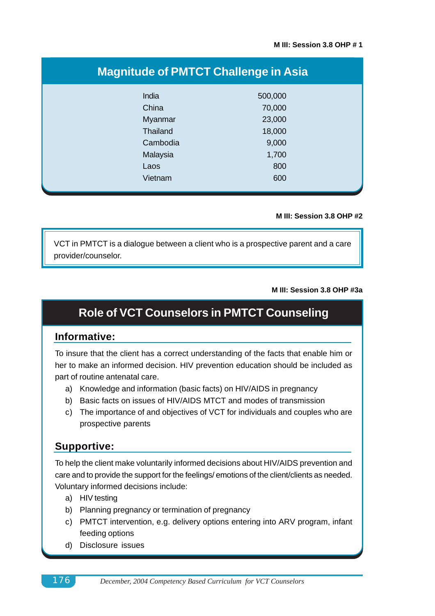| <b>Magnitude of PMTCT Challenge in Asia</b> |         |  |  |  |  |
|---------------------------------------------|---------|--|--|--|--|
| India                                       | 500,000 |  |  |  |  |
| China                                       | 70,000  |  |  |  |  |
| Myanmar                                     | 23,000  |  |  |  |  |
| Thailand                                    | 18,000  |  |  |  |  |
| Cambodia                                    | 9,000   |  |  |  |  |
| Malaysia                                    | 1,700   |  |  |  |  |
| Laos                                        | 800     |  |  |  |  |
| Vietnam                                     | 600     |  |  |  |  |

#### **M III: Session 3.8 OHP #2**

VCT in PMTCT is a dialogue between a client who is a prospective parent and a care provider/counselor.

#### **M III: Session 3.8 OHP #3a**

## **Role of VCT Counselors in PMTCT Counseling**

### **Informative:**

To insure that the client has a correct understanding of the facts that enable him or her to make an informed decision. HIV prevention education should be included as part of routine antenatal care.

- a) Knowledge and information (basic facts) on HIV/AIDS in pregnancy
- b) Basic facts on issues of HIV/AIDS MTCT and modes of transmission
- c) The importance of and objectives of VCT for individuals and couples who are prospective parents

### **Supportive:**

To help the client make voluntarily informed decisions about HIV/AIDS prevention and care and to provide the support for the feelings/ emotions of the client/clients as needed. Voluntary informed decisions include:

- a) HIV testing
- b) Planning pregnancy or termination of pregnancy
- c) PMTCT intervention, e.g. delivery options entering into ARV program, infant feeding options
- d) Disclosure issues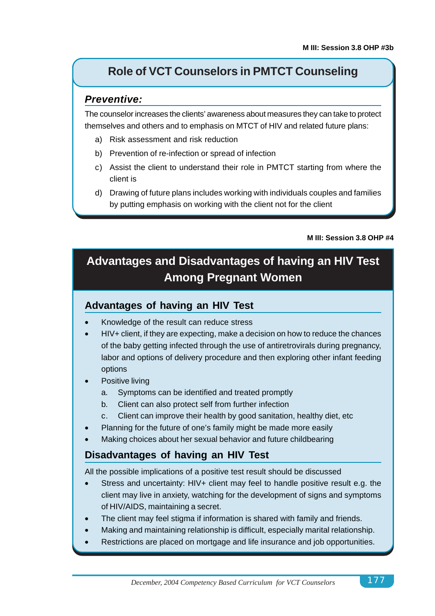# **Role of VCT Counselors in PMTCT Counseling**

### *Preventive:*

The counselor increases the clients' awareness about measures they can take to protect themselves and others and to emphasis on MTCT of HIV and related future plans:

- a) Risk assessment and risk reduction
- b) Prevention of re-infection or spread of infection
- c) Assist the client to understand their role in PMTCT starting from where the client is
- d) Drawing of future plans includes working with individuals couples and families by putting emphasis on working with the client not for the client

#### **M III: Session 3.8 OHP #4**

# **Advantages and Disadvantages of having an HIV Test Among Pregnant Women**

### **Advantages of having an HIV Test**

- Knowledge of the result can reduce stress
- HIV+ client, if they are expecting, make a decision on how to reduce the chances of the baby getting infected through the use of antiretrovirals during pregnancy, labor and options of delivery procedure and then exploring other infant feeding options
- Positive living
	- a. Symptoms can be identified and treated promptly
	- b. Client can also protect self from further infection
	- c. Client can improve their health by good sanitation, healthy diet, etc
- Planning for the future of one's family might be made more easily
- Making choices about her sexual behavior and future childbearing

## **Disadvantages of having an HIV Test**

All the possible implications of a positive test result should be discussed

- Stress and uncertainty: HIV+ client may feel to handle positive result e.g. the client may live in anxiety, watching for the development of signs and symptoms of HIV/AIDS, maintaining a secret.
- The client may feel stigma if information is shared with family and friends.
- Making and maintaining relationship is difficult, especially marital relationship.
- Restrictions are placed on mortgage and life insurance and job opportunities.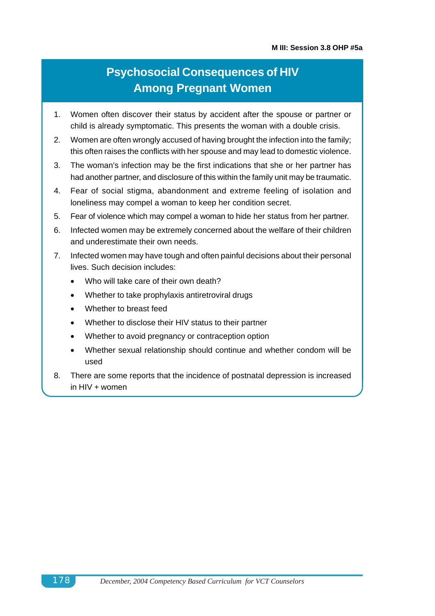# **Psychosocial Consequences of HIV Among Pregnant Women**

- 1. Women often discover their status by accident after the spouse or partner or child is already symptomatic. This presents the woman with a double crisis.
- 2. Women are often wrongly accused of having brought the infection into the family; this often raises the conflicts with her spouse and may lead to domestic violence.
- 3. The woman's infection may be the first indications that she or her partner has had another partner, and disclosure of this within the family unit may be traumatic.
- 4. Fear of social stigma, abandonment and extreme feeling of isolation and loneliness may compel a woman to keep her condition secret.
- 5. Fear of violence which may compel a woman to hide her status from her partner.
- 6. Infected women may be extremely concerned about the welfare of their children and underestimate their own needs.
- 7. Infected women may have tough and often painful decisions about their personal lives. Such decision includes:
	- Who will take care of their own death?
	- Whether to take prophylaxis antiretroviral drugs
	- Whether to breast feed
	- Whether to disclose their HIV status to their partner
	- Whether to avoid pregnancy or contraception option
	- Whether sexual relationship should continue and whether condom will be used
- 8. There are some reports that the incidence of postnatal depression is increased in  $HIV + women$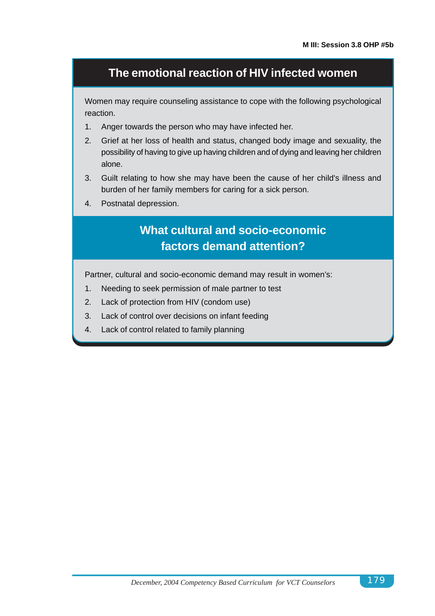## **The emotional reaction of HIV infected women**

Women may require counseling assistance to cope with the following psychological reaction.

- 1. Anger towards the person who may have infected her.
- 2. Grief at her loss of health and status, changed body image and sexuality, the possibility of having to give up having children and of dying and leaving her children alone.
- 3. Guilt relating to how she may have been the cause of her child's illness and burden of her family members for caring for a sick person.
- 4. Postnatal depression.

# **What cultural and socio-economic factors demand attention?**

Partner, cultural and socio-economic demand may result in women's:

- 1. Needing to seek permission of male partner to test
- 2. Lack of protection from HIV (condom use)
- 3. Lack of control over decisions on infant feeding
- 4. Lack of control related to family planning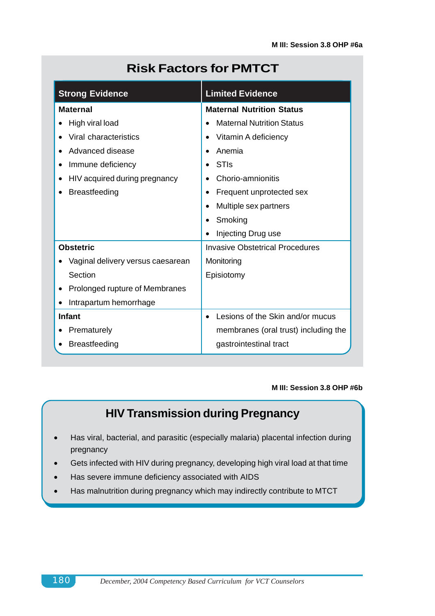| <b>Risk Factors for PMTCT</b> |  |  |  |  |  |  |
|-------------------------------|--|--|--|--|--|--|
|-------------------------------|--|--|--|--|--|--|

| <b>Strong Evidence</b>            | <b>Limited Evidence</b>                |  |  |
|-----------------------------------|----------------------------------------|--|--|
| <b>Maternal</b>                   | <b>Maternal Nutrition Status</b>       |  |  |
| High viral load                   | <b>Maternal Nutrition Status</b>       |  |  |
| Viral characteristics             | Vitamin A deficiency                   |  |  |
| Advanced disease                  | Anemia                                 |  |  |
| Immune deficiency                 | <b>STIs</b>                            |  |  |
| HIV acquired during pregnancy     | Chorio-amnionitis                      |  |  |
| <b>Breastfeeding</b>              | Frequent unprotected sex<br>٠          |  |  |
|                                   | Multiple sex partners                  |  |  |
|                                   | Smoking                                |  |  |
|                                   | Injecting Drug use                     |  |  |
| <b>Obstetric</b>                  | <b>Invasive Obstetrical Procedures</b> |  |  |
| Vaginal delivery versus caesarean | Monitoring                             |  |  |
| Section                           | Episiotomy                             |  |  |
| Prolonged rupture of Membranes    |                                        |  |  |
| Intrapartum hemorrhage            |                                        |  |  |
| <b>Infant</b>                     | Lesions of the Skin and/or mucus       |  |  |
| Prematurely                       | membranes (oral trust) including the   |  |  |
| <b>Breastfeeding</b>              | gastrointestinal tract                 |  |  |

#### **M III: Session 3.8 OHP #6b**

# **HIV Transmission during Pregnancy**

- Has viral, bacterial, and parasitic (especially malaria) placental infection during pregnancy
- Gets infected with HIV during pregnancy, developing high viral load at that time
- Has severe immune deficiency associated with AIDS
- Has malnutrition during pregnancy which may indirectly contribute to MTCT